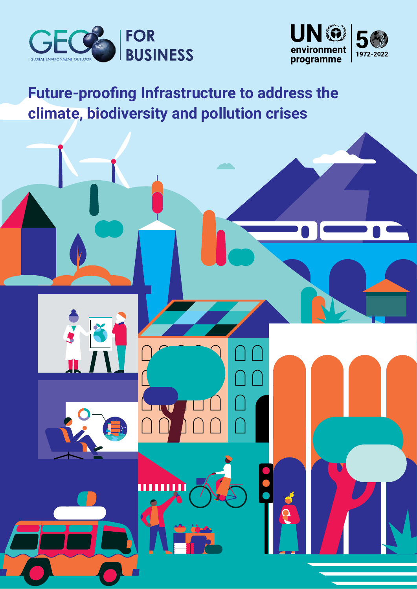



# **Future-proofing Infrastructure to address the climate, biodiversity and pollution crises**

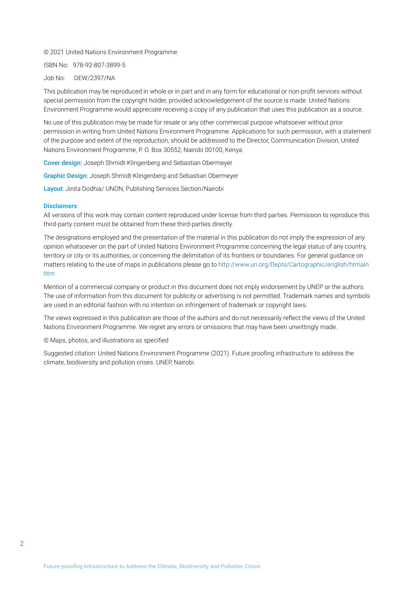#### © 2021 United Nations Environment Programme

ISBN No: 978-92-807-3899-5

#### Job No: DEW/2397/NA

This publication may be reproduced in whole or in part and in any form for educational or non-profit services without special permission from the copyright holder, provided acknowledgement of the source is made. United Nations Environment Programme would appreciate receiving a copy of any publication that uses this publication as a source.

No use of this publication may be made for resale or any other commercial purpose whatsoever without prior permission in writing from United Nations Environment Programme. Applications for such permission, with a statement of the purpose and extent of the reproduction, should be addressed to the Director, Communication Division, United Nations Environment Programme, P. O. Box 30552, Nairobi 00100, Kenya.

Cover design: Joseph Shmidt-Klingenberg and Sebastian Obermeyer

Graphic Design: Joseph Shmidt-Klingenberg and Sebastian Obermeyer

Layout: Jinita Dodhia/ UNON, Publishing Services Section/Nairobi

#### **Disclaimers**

All versions of this work may contain content reproduced under license from third parties. Permission to reproduce this third-party content must be obtained from these third-parties directly.

The designations employed and the presentation of the material in this publication do not imply the expression of any opinion whatsoever on the part of United Nations Environment Programme concerning the legal status of any country, territory or city or its authorities, or concerning the delimitation of its frontiers or boundaries. For general guidance on matters relating to the use of maps in publications please go to [http://www.un.org/Depts/Cartographic/english/htmain.](http://www.un.org/Depts/Cartographic/english/htmain.htm) [htm](http://www.un.org/Depts/Cartographic/english/htmain.htm)

Mention of a commercial company or product in this document does not imply endorsement by UNEP or the authors. The use of information from this document for publicity or advertising is not permitted. Trademark names and symbols are used in an editorial fashion with no intention on infringement of trademark or copyright laws.

The views expressed in this publication are those of the authors and do not necessarily reflect the views of the United Nations Environment Programme. We regret any errors or omissions that may have been unwittingly made.

© Maps, photos, and illustrations as specified

Suggested citation: United Nations Environment Programme (2021). Future proofing infrastructure to address the climate, biodiversity and pollution crises. UNEP, Nairobi.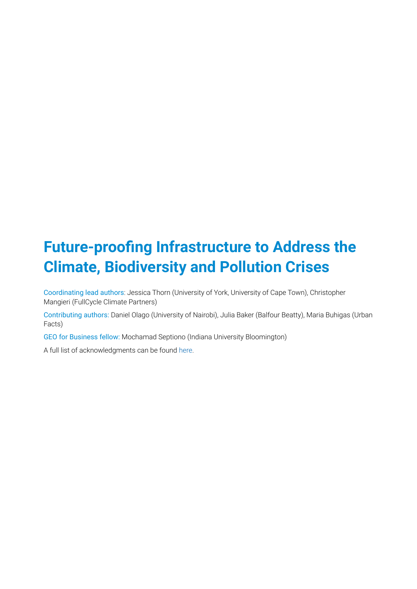# **Future-proofing Infrastructure to Address the Climate, Biodiversity and Pollution Crises**

Coordinating lead authors: Jessica Thorn (University of York, University of Cape Town), Christopher Mangieri (FullCycle Climate Partners)

Contributing authors: Daniel Olago (University of Nairobi), Julia Baker (Balfour Beatty), Maria Buhigas (Urban Facts)

GEO for Business fellow: Mochamad Septiono (Indiana University Bloomington)

A full list of acknowledgments can be found [here.](https://wedocs.unep.org/bitstream/handle/20.500.11822/37564/GFB5A.pdf)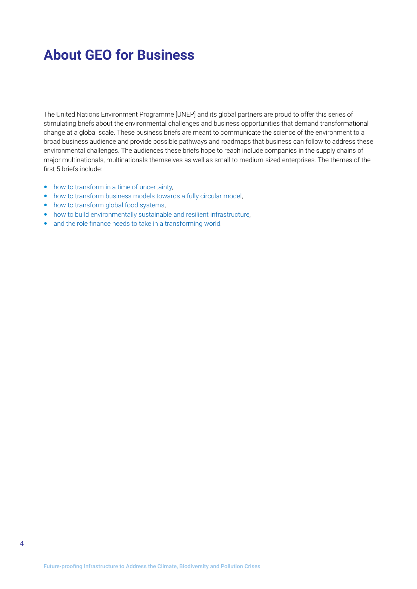## <span id="page-3-0"></span>**About GEO for Business**

The United Nations Environment Programme [UNEP] and its global partners are proud to offer this series of stimulating briefs about the environmental challenges and business opportunities that demand transformational change at a global scale. These business briefs are meant to communicate the science of the environment to a broad business audience and provide possible pathways and roadmaps that business can follow to address these environmental challenges. The audiences these briefs hope to reach include companies in the supply chains of major multinationals, multinationals themselves as well as small to medium-sized enterprises. The themes of the first 5 briefs include:

- [how to transform in a time of uncertainty,](https://wedocs.unep.org/bitstream/handle/20.500.11822/32630/G4B.pdf?sequence=1&isAllowed=y)
- [how to transform business models towards a fully circular model](https://wedocs.unep.org/bitstream/handle/20.500.11822/36830/RBMLCE.pdf?sequence=3),
- [how to transform global food systems,](https://wedocs.unep.org/bitstream/handle/20.500.11822/36755/GEO4B3.pdf)
- [how to build environmentally sustainable and resilient infrastructure](https://wedocs.unep.org/bitstream/handle/20.500.11822/37563/GFB5.pdf),
- [and the role finance needs to take in a transforming world](https://wedocs.unep.org/bitstream/handle/20.500.11822/37567/GFB6.pdf).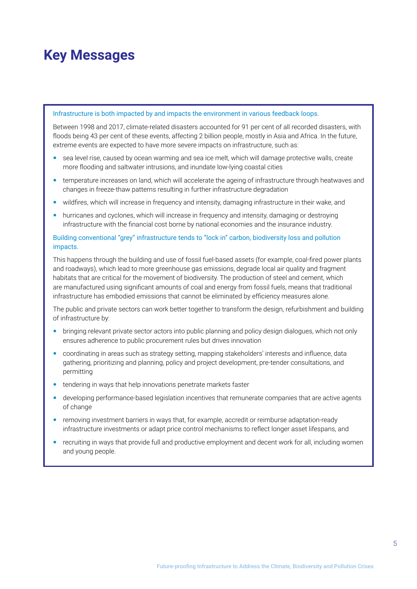## <span id="page-4-0"></span>**Key Messages**

#### Infrastructure is both impacted by and impacts the environment in various feedback loops.

Between 1998 and 2017, climate-related disasters accounted for 91 per cent of all recorded disasters, with floods being 43 per cent of these events, affecting 2 billion people, mostly in Asia and Africa. In the future, extreme events are expected to have more severe impacts on infrastructure, such as:

- sea level rise, caused by ocean warming and sea ice melt, which will damage protective walls, create more flooding and saltwater intrusions, and inundate low-lying coastal cities
- temperature increases on land, which will accelerate the ageing of infrastructure through heatwaves and changes in freeze-thaw patterns resulting in further infrastructure degradation
- wildfires, which will increase in frequency and intensity, damaging infrastructure in their wake, and
- hurricanes and cyclones, which will increase in frequency and intensity, damaging or destroying infrastructure with the financial cost borne by national economies and the insurance industry.

#### Building conventional "grey" infrastructure tends to "lock in" carbon, biodiversity loss and pollution impacts.

This happens through the building and use of fossil fuel-based assets (for example, coal-fired power plants and roadways), which lead to more greenhouse gas emissions, degrade local air quality and fragment habitats that are critical for the movement of biodiversity. The production of steel and cement, which are manufactured using significant amounts of coal and energy from fossil fuels, means that traditional infrastructure has embodied emissions that cannot be eliminated by efficiency measures alone.

The public and private sectors can work better together to transform the design, refurbishment and building of infrastructure by:

- bringing relevant private sector actors into public planning and policy design dialogues, which not only ensures adherence to public procurement rules but drives innovation
- coordinating in areas such as strategy setting, mapping stakeholders' interests and influence, data gathering, prioritizing and planning, policy and project development, pre-tender consultations, and permitting
- tendering in ways that help innovations penetrate markets faster
- developing performance-based legislation incentives that remunerate companies that are active agents of change
- removing investment barriers in ways that, for example, accredit or reimburse adaptation-ready infrastructure investments or adapt price control mechanisms to reflect longer asset lifespans, and
- recruiting in ways that provide full and productive employment and decent work for all, including women and young people.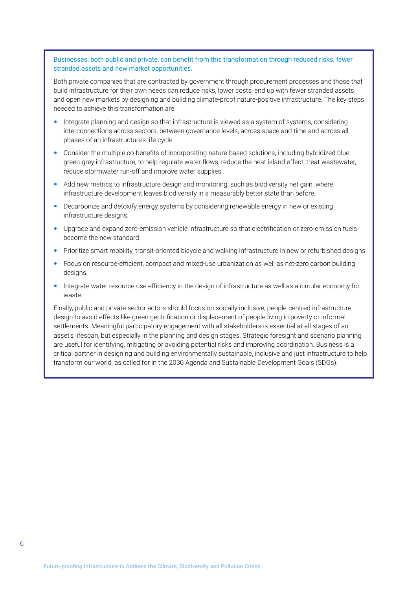Businesses, both public and private, can benefit from this transformation through reduced risks, fewer stranded assets and new market opportunities.

Both private companies that are contracted by government through procurement processes and those that build infrastructure for their own needs can reduce risks, lower costs, end up with fewer stranded assets and open new markets by designing and building climate-proof nature-positive infrastructure. The key steps needed to achieve this transformation are:

- Integrate planning and design so that infrastructure is viewed as a system of systems, considering interconnections across sectors, between governance levels, across space and time and across all phases of an infrastructure's life cycle.
- Consider the multiple co-benefits of incorporating nature-based solutions, including hybridized bluegreen-grey infrastructure, to help regulate water flows, reduce the heat island effect, treat wastewater, reduce stormwater run-off and improve water supplies.
- Add new metrics to infrastructure design and monitoring, such as biodiversity net gain, where infrastructure development leaves biodiversity in a measurably better state than before.
- Decarbonize and detoxify energy systems by considering renewable energy in new or existing infrastructure designs.
- Upgrade and expand zero-emission vehicle infrastructure so that electrification or zero-emission fuels become the new standard.
- Prioritize smart mobility, transit-oriented bicycle and walking infrastructure in new or refurbished designs.
- Focus on resource-efficient, compact and mixed-use urbanization as well as net-zero carbon building designs.
- Integrate water resource use efficiency in the design of infrastructure as well as a circular economy for waste.

Finally, public and private sector actors should focus on socially inclusive, people-centred infrastructure design to avoid effects like green gentrification or displacement of people living in poverty or informal settlements. Meaningful participatory engagement with all stakeholders is essential at all stages of an asset's lifespan, but especially in the planning and design stages. Strategic foresight and scenario planning are useful for identifying, mitigating or avoiding potential risks and improving coordination. Business is a critical partner in designing and building environmentally sustainable, inclusive and just infrastructure to help transform our world, as called for in the 2030 Agenda and Sustainable Development Goals (SDGs).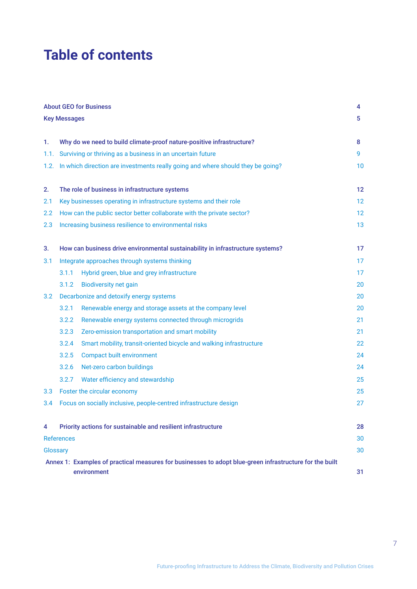## **Table of contents**

|                  |                                                                                 | <b>About GEO for Business</b>                                                                                          | 4  |  |  |  |  |  |
|------------------|---------------------------------------------------------------------------------|------------------------------------------------------------------------------------------------------------------------|----|--|--|--|--|--|
|                  | <b>Key Messages</b>                                                             |                                                                                                                        | 5  |  |  |  |  |  |
|                  |                                                                                 |                                                                                                                        |    |  |  |  |  |  |
| 1.               |                                                                                 | Why do we need to build climate-proof nature-positive infrastructure?                                                  | 8  |  |  |  |  |  |
| 1.1.             |                                                                                 | Surviving or thriving as a business in an uncertain future                                                             | 9  |  |  |  |  |  |
| 1.2.             | In which direction are investments really going and where should they be going? |                                                                                                                        |    |  |  |  |  |  |
| 2.               |                                                                                 | The role of business in infrastructure systems                                                                         | 12 |  |  |  |  |  |
| 2.1              |                                                                                 | Key businesses operating in infrastructure systems and their role                                                      | 12 |  |  |  |  |  |
| 2.2              |                                                                                 | How can the public sector better collaborate with the private sector?                                                  | 12 |  |  |  |  |  |
| 2.3              |                                                                                 | Increasing business resilience to environmental risks                                                                  | 13 |  |  |  |  |  |
| 3.               |                                                                                 | How can business drive environmental sustainability in infrastructure systems?                                         | 17 |  |  |  |  |  |
| 3.1              |                                                                                 | Integrate approaches through systems thinking                                                                          | 17 |  |  |  |  |  |
|                  | 3.1.1                                                                           | Hybrid green, blue and grey infrastructure                                                                             | 17 |  |  |  |  |  |
|                  | 3.1.2                                                                           | <b>Biodiversity net gain</b>                                                                                           | 20 |  |  |  |  |  |
| 3.2              |                                                                                 | Decarbonize and detoxify energy systems                                                                                | 20 |  |  |  |  |  |
|                  | 3.2.1                                                                           | Renewable energy and storage assets at the company level                                                               | 20 |  |  |  |  |  |
|                  | 3.2.2                                                                           | Renewable energy systems connected through microgrids                                                                  | 21 |  |  |  |  |  |
|                  | 3.2.3                                                                           | Zero-emission transportation and smart mobility                                                                        | 21 |  |  |  |  |  |
|                  | 3.2.4                                                                           | Smart mobility, transit-oriented bicycle and walking infrastructure                                                    | 22 |  |  |  |  |  |
|                  | 3.2.5                                                                           | <b>Compact built environment</b>                                                                                       | 24 |  |  |  |  |  |
|                  | 3.2.6                                                                           | Net-zero carbon buildings                                                                                              | 24 |  |  |  |  |  |
|                  | 3.2.7                                                                           | Water efficiency and stewardship                                                                                       | 25 |  |  |  |  |  |
| 3.3 <sub>2</sub> |                                                                                 | Foster the circular economy                                                                                            | 25 |  |  |  |  |  |
| 3.4              |                                                                                 | Focus on socially inclusive, people-centred infrastructure design                                                      | 27 |  |  |  |  |  |
| 4                |                                                                                 | Priority actions for sustainable and resilient infrastructure                                                          | 28 |  |  |  |  |  |
|                  | <b>References</b>                                                               |                                                                                                                        | 30 |  |  |  |  |  |
| Glossary         |                                                                                 |                                                                                                                        | 30 |  |  |  |  |  |
|                  |                                                                                 | Annex 1: Examples of practical measures for businesses to adopt blue-green infrastructure for the built<br>environment | 31 |  |  |  |  |  |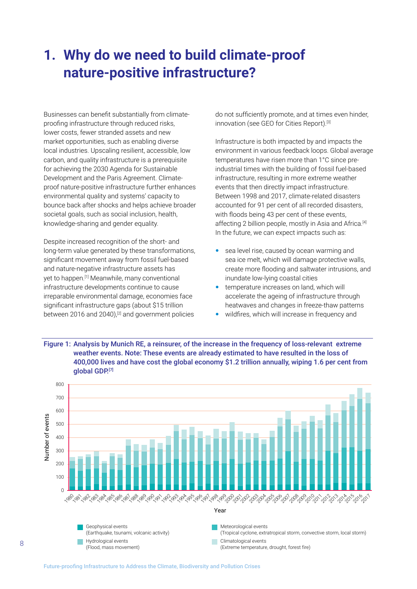## <span id="page-7-0"></span>**1. Why do we need to build climate-proof nature-positive infrastructure?**

Businesses can benefit substantially from climateproofing infrastructure through reduced risks, lower costs, fewer stranded assets and new market opportunities, such as enabling diverse local industries. Upscaling resilient, accessible, low carbon, and quality infrastructure is a prerequisite for achieving the 2030 Agenda for Sustainable Development and the Paris Agreement. Climateproof nature-positive infrastructure further enhances environmental quality and systems' capacity to bounce back after shocks and helps achieve broader societal goals, such as social inclusion, health, knowledge-sharing and gender equality.

Despite increased recognition of the short- and long-term value generated by these transformations, significant movement away from fossil fuel-based and nature-negative infrastructure assets has yet to happen.[1] Meanwhile, many conventional infrastructure developments continue to cause irreparable environmental damage, economies face significant infrastructure gaps (about \$15 trillion between 2016 and 2040),<sup>[2]</sup> and government policies

do not sufficiently promote, and at times even hinder, innovation (see GEO for Cities Report).<sup>[3]</sup>

Infrastructure is both impacted by and impacts the environment in various feedback loops. Global average temperatures have risen more than 1°C since preindustrial times with the building of fossil fuel-based infrastructure, resulting in more extreme weather events that then directly impact infrastructure. Between 1998 and 2017, climate-related disasters accounted for 91 per cent of all recorded disasters, with floods being 43 per cent of these events, affecting 2 billion people, mostly in Asia and Africa.[4] In the future, we can expect impacts such as:

- sea level rise, caused by ocean warming and sea ice melt, which will damage protective walls, create more flooding and saltwater intrusions, and inundate low-lying coastal cities
- temperature increases on land, which will accelerate the ageing of infrastructure through heatwaves and changes in freeze-thaw patterns
- wildfires, which will increase in frequency and



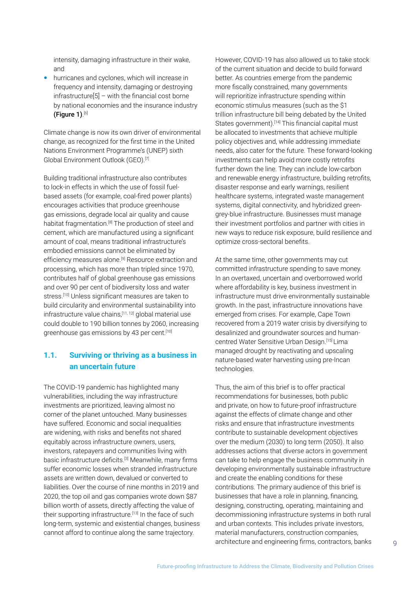<span id="page-8-0"></span>intensity, damaging infrastructure in their wake, and

 hurricanes and cyclones, which will increase in frequency and intensity, damaging or destroying infrastructure[5] – with the financial cost borne by national economies and the insurance industry (Figure 1). [6]

Climate change is now its own driver of environmental change, as recognized for the first time in the United Nations Environment Programme's (UNEP) sixth Global Environment Outlook (GEO).<sup>[7]</sup>

Building traditional infrastructure also contributes to lock-in effects in which the use of fossil fuelbased assets (for example, coal-fired power plants) encourages activities that produce greenhouse gas emissions, degrade local air quality and cause habitat fragmentation.[8] The production of steel and cement, which are manufactured using a significant amount of coal, means traditional infrastructure's embodied emissions cannot be eliminated by efficiency measures alone.<sup>[9]</sup> Resource extraction and processing, which has more than tripled since 1970, contributes half of global greenhouse gas emissions and over 90 per cent of biodiversity loss and water stress.<sup>[10]</sup> Unless significant measures are taken to build circularity and environmental sustainability into infrastructure value chains,[11, 12] global material use could double to 190 billion tonnes by 2060, increasing greenhouse gas emissions by 43 per cent.<sup>[10]</sup>

## **1.1. Surviving or thriving as a business in an uncertain future**

The COVID-19 pandemic has highlighted many vulnerabilities, including the way infrastructure investments are prioritized, leaving almost no corner of the planet untouched. Many businesses have suffered. Economic and social inequalities are widening, with risks and benefits not shared equitably across infrastructure owners, users, investors, ratepayers and communities living with basic infrastructure deficits.[3] Meanwhile, many firms suffer economic losses when stranded infrastructure assets are written down, devalued or converted to liabilities. Over the course of nine months in 2019 and 2020, the top oil and gas companies wrote down \$87 billion worth of assets, directly affecting the value of their supporting infrastructure.<sup>[13]</sup> In the face of such long-term, systemic and existential changes, business cannot afford to continue along the same trajectory.

However, COVID-19 has also allowed us to take stock of the current situation and decide to build forward better. As countries emerge from the pandemic more fiscally constrained, many governments will reprioritize infrastructure spending within economic stimulus measures (such as the \$1 trillion infrastructure bill being debated by the United States government).<sup>[14]</sup> This financial capital must be allocated to investments that achieve multiple policy objectives and, while addressing immediate needs, also cater for the future. These forward-looking investments can help avoid more costly retrofits further down the line. They can include low-carbon and renewable energy infrastructure, building retrofits, disaster response and early warnings, resilient healthcare systems, integrated waste management systems, digital connectivity, and hybridized greengrey-blue infrastructure. Businesses must manage their investment portfolios and partner with cities in new ways to reduce risk exposure, build resilience and optimize cross-sectoral benefits.

At the same time, other governments may cut committed infrastructure spending to save money. In an overtaxed, uncertain and overborrowed world where affordability is key, business investment in infrastructure must drive environmentally sustainable growth. In the past, infrastructure innovations have emerged from crises. For example, Cape Town recovered from a 2019 water crisis by diversifying to desalinized and groundwater sources and humancentred Water Sensitive Urban Design.[15] Lima managed drought by reactivating and upscaling nature-based water harvesting using pre-Incan technologies.

Thus, the aim of this brief is to offer practical recommendations for businesses, both public and private, on how to future-proof infrastructure against the effects of climate change and other risks and ensure that infrastructure investments contribute to sustainable development objectives over the medium (2030) to long term (2050). It also addresses actions that diverse actors in government can take to help engage the business community in developing environmentally sustainable infrastructure and create the enabling conditions for these contributions. The primary audience of this brief is businesses that have a role in planning, financing, designing, constructing, operating, maintaining and decommissioning infrastructure systems in both rural and urban contexts. This includes private investors, material manufacturers, construction companies, architecture and engineering firms, contractors, banks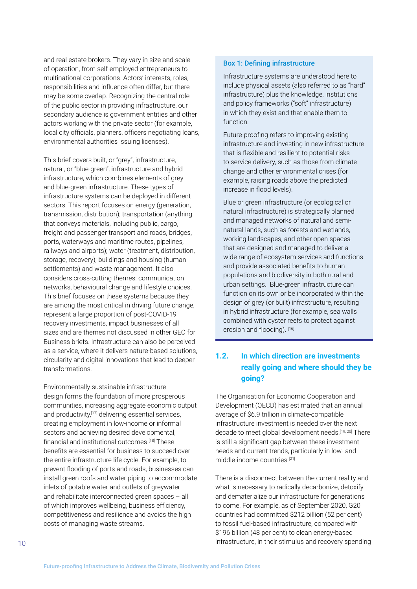<span id="page-9-0"></span>and real estate brokers. They vary in size and scale of operation, from self-employed entrepreneurs to multinational corporations. Actors' interests, roles, responsibilities and influence often differ, but there may be some overlap. Recognizing the central role of the public sector in providing infrastructure, our secondary audience is government entities and other actors working with the private sector (for example, local city officials, planners, officers negotiating loans, environmental authorities issuing licenses).

This brief covers built, or "grey", infrastructure, natural, or "blue-green", infrastructure and hybrid infrastructure, which combines elements of grey and blue-green infrastructure. These types of infrastructure systems can be deployed in different sectors. This report focuses on energy (generation, transmission, distribution); transportation (anything that conveys materials, including public, cargo, freight and passenger transport and roads, bridges, ports, waterways and maritime routes, pipelines, railways and airports); water (treatment, distribution, storage, recovery); buildings and housing (human settlements) and waste management. It also considers cross-cutting themes: communication networks, behavioural change and lifestyle choices. This brief focuses on these systems because they are among the most critical in driving future change, represent a large proportion of post-COVID-19 recovery investments, impact businesses of all sizes and are themes not discussed in other GEO for Business briefs. Infrastructure can also be perceived as a service, where it delivers nature-based solutions, circularity and digital innovations that lead to deeper transformations.

Environmentally sustainable infrastructure design forms the foundation of more prosperous communities, increasing aggregate economic output and productivity,<sup>[17]</sup> delivering essential services, creating employment in low-income or informal sectors and achieving desired developmental, financial and institutional outcomes.[18] These benefits are essential for business to succeed over the entire infrastructure life cycle. For example, to prevent flooding of ports and roads, businesses can install green roofs and water piping to accommodate inlets of potable water and outlets of greywater and rehabilitate interconnected green spaces – all of which improves wellbeing, business efficiency, competitiveness and resilience and avoids the high costs of managing waste streams.

#### Box 1: Defining infrastructure

Infrastructure systems are understood here to include physical assets (also referred to as "hard" infrastructure) plus the knowledge, institutions and policy frameworks ("soft" infrastructure) in which they exist and that enable them to function.

Future-proofing refers to improving existing infrastructure and investing in new infrastructure that is flexible and resilient to potential risks to service delivery, such as those from climate change and other environmental crises (for example, raising roads above the predicted increase in flood levels).

Blue or green infrastructure (or ecological or natural infrastructure) is strategically planned and managed networks of natural and seminatural lands, such as forests and wetlands, working landscapes, and other open spaces that are designed and managed to deliver a wide range of ecosystem services and functions and provide associated benefits to human populations and biodiversity in both rural and urban settings. Blue-green infrastructure can function on its own or be incorporated within the design of grey (or built) infrastructure, resulting in hybrid infrastructure (for example, sea walls combined with oyster reefs to protect against erosion and flooding). [16]

## **1.2. In which direction are investments really going and where should they be going?**

The Organisation for Economic Cooperation and Development (OECD) has estimated that an annual average of \$6.9 trillion in climate-compatible infrastructure investment is needed over the next decade to meet global development needs.<sup>[19, 20]</sup> There is still a significant gap between these investment needs and current trends, particularly in low- and middle-income countries.[21]

There is a disconnect between the current reality and what is necessary to radically decarbonize, detoxify and dematerialize our infrastructure for generations to come. For example, as of September 2020, G20 countries had committed \$212 billion (52 per cent) to fossil fuel-based infrastructure, compared with \$196 billion (48 per cent) to clean energy-based infrastructure, in their stimulus and recovery spending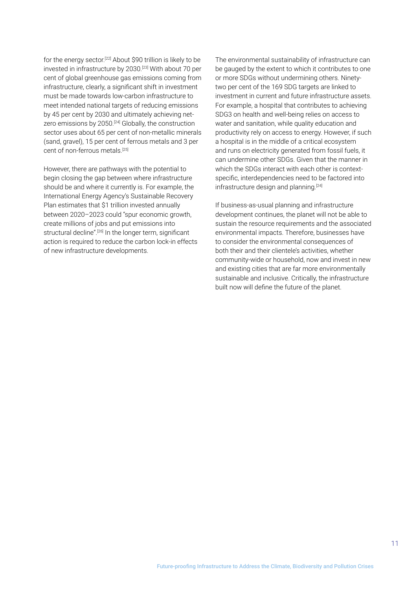for the energy sector.<sup>[22]</sup> About \$90 trillion is likely to be invested in infrastructure by 2030.[23] With about 70 per cent of global greenhouse gas emissions coming from infrastructure, clearly, a significant shift in investment must be made towards low-carbon infrastructure to meet intended national targets of reducing emissions by 45 per cent by 2030 and ultimately achieving netzero emissions by 2050.<sup>[24]</sup> Globally, the construction sector uses about 65 per cent of non-metallic minerals (sand, gravel), 15 per cent of ferrous metals and 3 per cent of non-ferrous metals.[25]

However, there are pathways with the potential to begin closing the gap between where infrastructure should be and where it currently is. For example, the International Energy Agency's Sustainable Recovery Plan estimates that \$1 trillion invested annually between 2020–2023 could "spur economic growth, create millions of jobs and put emissions into structural decline".<sup>[26]</sup> In the longer term, significant action is required to reduce the carbon lock-in effects of new infrastructure developments.

The environmental sustainability of infrastructure can be gauged by the extent to which it contributes to one or more SDGs without undermining others. Ninetytwo per cent of the 169 SDG targets are linked to investment in current and future infrastructure assets. For example, a hospital that contributes to achieving SDG3 on health and well-being relies on access to water and sanitation, while quality education and productivity rely on access to energy. However, if such a hospital is in the middle of a critical ecosystem and runs on electricity generated from fossil fuels, it can undermine other SDGs. Given that the manner in which the SDGs interact with each other is contextspecific, interdependencies need to be factored into infrastructure design and planning.<sup>[24]</sup>

If business-as-usual planning and infrastructure development continues, the planet will not be able to sustain the resource requirements and the associated environmental impacts. Therefore, businesses have to consider the environmental consequences of both their and their clientele's activities, whether community-wide or household, now and invest in new and existing cities that are far more environmentally sustainable and inclusive. Critically, the infrastructure built now will define the future of the planet.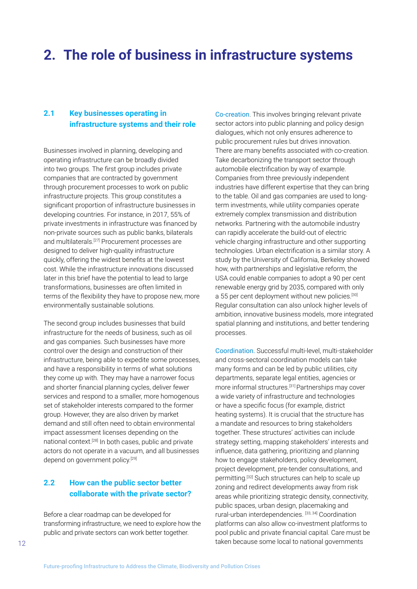## <span id="page-11-0"></span>**2. The role of business in infrastructure systems**

## **2.1 Key businesses operating in infrastructure systems and their role**

Businesses involved in planning, developing and operating infrastructure can be broadly divided into two groups. The first group includes private companies that are contracted by government through procurement processes to work on public infrastructure projects. This group constitutes a significant proportion of infrastructure businesses in developing countries. For instance, in 2017, 55% of private investments in infrastructure was financed by non-private sources such as public banks, bilaterals and multilaterals.<sup>[27]</sup> Procurement processes are designed to deliver high-quality infrastructure quickly, offering the widest benefits at the lowest cost. While the infrastructure innovations discussed later in this brief have the potential to lead to large transformations, businesses are often limited in terms of the flexibility they have to propose new, more environmentally sustainable solutions.

The second group includes businesses that build infrastructure for the needs of business, such as oil and gas companies. Such businesses have more control over the design and construction of their infrastructure, being able to expedite some processes, and have a responsibility in terms of what solutions they come up with. They may have a narrower focus and shorter financial planning cycles, deliver fewer services and respond to a smaller, more homogenous set of stakeholder interests compared to the former group. However, they are also driven by market demand and still often need to obtain environmental impact assessment licenses depending on the national context.[28] In both cases, public and private actors do not operate in a vacuum, and all businesses depend on government policy.<sup>[29]</sup>

## **2.2 How can the public sector better collaborate with the private sector?**

Before a clear roadmap can be developed for transforming infrastructure, we need to explore how the public and private sectors can work better together.

Co-creation. This involves bringing relevant private sector actors into public planning and policy design dialogues, which not only ensures adherence to public procurement rules but drives innovation. There are many benefits associated with co-creation. Take decarbonizing the transport sector through automobile electrification by way of example. Companies from three previously independent industries have different expertise that they can bring to the table. Oil and gas companies are used to longterm investments, while utility companies operate extremely complex transmission and distribution networks. Partnering with the automobile industry can rapidly accelerate the build-out of electric vehicle charging infrastructure and other supporting technologies. Urban electrification is a similar story. A study by the University of California, Berkeley showed how, with partnerships and legislative reform, the USA could enable companies to adopt a 90 per cent renewable energy grid by 2035, compared with only a 55 per cent deployment without new policies.<sup>[30]</sup> Regular consultation can also unlock higher levels of ambition, innovative business models, more integrated spatial planning and institutions, and better tendering processes.

Coordination. Successful multi-level, multi-stakeholder and cross-sectoral coordination models can take many forms and can be led by public utilities, city departments, separate legal entities, agencies or more informal structures.[31] Partnerships may cover a wide variety of infrastructure and technologies or have a specific focus (for example, district heating systems). It is crucial that the structure has a mandate and resources to bring stakeholders together. These structures' activities can include strategy setting, mapping stakeholders' interests and influence, data gathering, prioritizing and planning how to engage stakeholders, policy development, project development, pre-tender consultations, and permitting.[32] Such structures can help to scale up zoning and redirect developments away from risk areas while prioritizing strategic density, connectivity, public spaces, urban design, placemaking and rural-urban interdependencies. [33, 34] Coordination platforms can also allow co-investment platforms to pool public and private financial capital. Care must be taken because some local to national governments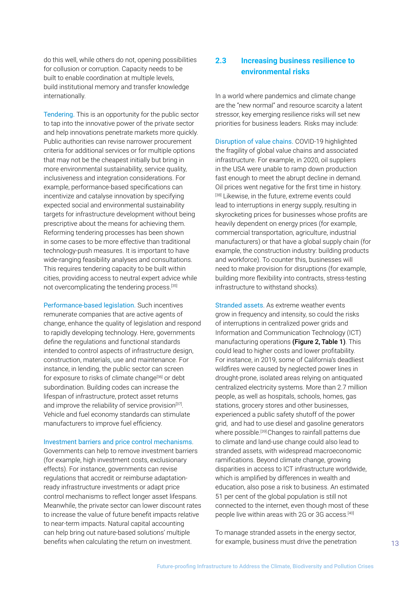<span id="page-12-0"></span>do this well, while others do not, opening possibilities for collusion or corruption. Capacity needs to be built to enable coordination at multiple levels, build institutional memory and transfer knowledge internationally.

Tendering. This is an opportunity for the public sector to tap into the innovative power of the private sector and help innovations penetrate markets more quickly. Public authorities can revise narrower procurement criteria for additional services or for multiple options that may not be the cheapest initially but bring in more environmental sustainability, service quality, inclusiveness and integration considerations. For example, performance-based specifications can incentivize and catalyse innovation by specifying expected social and environmental sustainability targets for infrastructure development without being prescriptive about the means for achieving them. Reforming tendering processes has been shown in some cases to be more effective than traditional technology-push measures. It is important to have wide-ranging feasibility analyses and consultations. This requires tendering capacity to be built within cities, providing access to neutral expert advice while not overcomplicating the tendering process.[35]

Performance-based legislation. Such incentives remunerate companies that are active agents of change, enhance the quality of legislation and respond to rapidly developing technology. Here, governments define the regulations and functional standards intended to control aspects of infrastructure design, construction, materials, use and maintenance. For instance, in lending, the public sector can screen for exposure to risks of climate change<sup>[36]</sup> or debt subordination. Building codes can increase the lifespan of infrastructure, protect asset returns and improve the reliability of service provision<sup>[37]</sup>. Vehicle and fuel economy standards can stimulate manufacturers to improve fuel efficiency.

#### Investment barriers and price control mechanisms.

Governments can help to remove investment barriers (for example, high investment costs, exclusionary effects). For instance, governments can revise regulations that accredit or reimburse adaptationready infrastructure investments or adapt price control mechanisms to reflect longer asset lifespans. Meanwhile, the private sector can lower discount rates to increase the value of future benefit impacts relative to near-term impacts. Natural capital accounting can help bring out nature-based solutions' multiple benefits when calculating the return on investment.

## **2.3 Increasing business resilience to environmental risks**

In a world where pandemics and climate change are the "new normal" and resource scarcity a latent stressor, key emerging resilience risks will set new priorities for business leaders. Risks may include:

Disruption of value chains. COVID-19 highlighted the fragility of global value chains and associated infrastructure. For example, in 2020, oil suppliers in the USA were unable to ramp down production fast enough to meet the abrupt decline in demand. Oil prices went negative for the first time in history. [38] Likewise, in the future, extreme events could lead to interruptions in energy supply, resulting in skyrocketing prices for businesses whose profits are heavily dependent on energy prices (for example, commercial transportation, agriculture, industrial manufacturers) or that have a global supply chain (for example, the construction industry: building products and workforce). To counter this, businesses will need to make provision for disruptions (for example, building more flexibility into contracts, stress-testing infrastructure to withstand shocks).

Stranded assets. As extreme weather events grow in frequency and intensity, so could the risks of interruptions in centralized power grids and Information and Communication Technology (ICT) manufacturing operations (Figure 2, Table 1). This could lead to higher costs and lower profitability. For instance, in 2019, some of California's deadliest wildfires were caused by neglected power lines in drought-prone, isolated areas relying on antiquated centralized electricity systems. More than 2.7 million people, as well as hospitals, schools, homes, gas stations, grocery stores and other businesses, experienced a public safety shutoff of the power grid, and had to use diesel and gasoline generators where possible.<sup>[39]</sup> Changes to rainfall patterns due to climate and land-use change could also lead to stranded assets, with widespread macroeconomic ramifications. Beyond climate change, growing disparities in access to ICT infrastructure worldwide, which is amplified by differences in wealth and education, also pose a risk to business. An estimated 51 per cent of the global population is still not connected to the internet, even though most of these people live within areas with 2G or 3G access.<sup>[40]</sup>

To manage stranded assets in the energy sector, for example, business must drive the penetration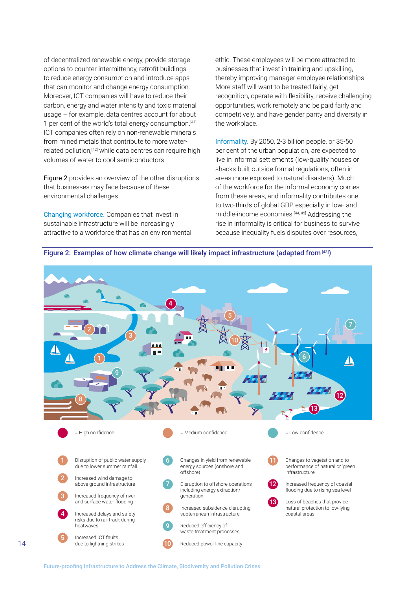of decentralized renewable energy, provide storage options to counter intermittency, retrofit buildings to reduce energy consumption and introduce apps that can monitor and change energy consumption. Moreover, ICT companies will have to reduce their carbon, energy and water intensity and toxic material usage – for example, data centres account for about 1 per cent of the world's total energy consumption.<sup>[41]</sup> ICT companies often rely on non-renewable minerals from mined metals that contribute to more waterrelated pollution,<sup>[42]</sup> while data centres can require high volumes of water to cool semiconductors.

Figure 2 provides an overview of the other disruptions that businesses may face because of these environmental challenges.

Changing workforce. Companies that invest in sustainable infrastructure will be increasingly attractive to a workforce that has an environmental ethic. These employees will be more attracted to businesses that invest in training and upskilling, thereby improving manager-employee relationships. More staff will want to be treated fairly, get recognition, operate with flexibility, receive challenging opportunities, work remotely and be paid fairly and competitively, and have gender parity and diversity in the workplace.

Informality. By 2050, 2-3 billion people, or 35-50 per cent of the urban population, are expected to live in informal settlements (low-quality houses or shacks built outside formal regulations, often in areas more exposed to natural disasters). Much of the workforce for the informal economy comes from these areas, and informality contributes one to two-thirds of global GDP, especially in low- and middle-income economies.[44, 45] Addressing the rise in informality is critical for business to survive because inequality fuels disputes over resources,



#### Figure 2: Examples of how climate change will likely impact infrastructure (adapted from [43])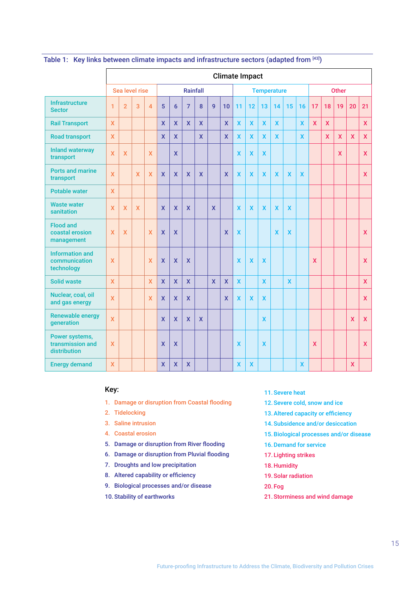|                                                       | <b>Climate Impact</b>     |                |                 |                |              |                         |                           |                         |              |                         |                           |                           |              |              |                         |                           |                           |              |             |             |              |
|-------------------------------------------------------|---------------------------|----------------|-----------------|----------------|--------------|-------------------------|---------------------------|-------------------------|--------------|-------------------------|---------------------------|---------------------------|--------------|--------------|-------------------------|---------------------------|---------------------------|--------------|-------------|-------------|--------------|
|                                                       | Sea level rise            |                | <b>Rainfall</b> |                |              | <b>Temperature</b>      |                           |                         |              | <b>Other</b>            |                           |                           |              |              |                         |                           |                           |              |             |             |              |
| <b>Infrastructure</b><br><b>Sector</b>                | $\overline{1}$            | $\overline{2}$ | 3               | $\overline{4}$ | 5            | $6\phantom{1}$          | $\overline{7}$            | 8                       | $\mathbf{q}$ | 10                      | 11                        | 12                        | 13           | 14           | 15                      | 16                        | 17                        | 18           | 19          | 20          | 21           |
| <b>Rail Transport</b>                                 | $\mathbf{x}$              |                |                 |                | $\mathsf{x}$ | $\mathsf{x}$            | $\mathbf{x}$              | $\mathsf{x}$            |              | $\mathsf{x}$            | X                         | $\mathbf x$               | $\mathbf x$  | $\mathbf x$  |                         | $\mathbf x$               | $\mathsf{x}$              | $\mathsf{x}$ |             |             | $\mathbf{x}$ |
| <b>Road transport</b>                                 | $\overline{\mathsf{X}}$   |                |                 |                | $\mathbf{x}$ | $\overline{\mathsf{x}}$ |                           | $\overline{\mathsf{x}}$ |              | $\mathbf{x}$            | $\mathbf x$               | $\mathbf{x}$              | $\mathbf x$  | $\mathbf{x}$ |                         | $\mathbf x$               |                           | $\mathbf x$  | $\mathbf x$ | $\mathbf x$ | $\mathsf{X}$ |
| <b>Inland waterway</b><br>transport                   | $\mathbf{x}$              | $\mathbf{x}$   |                 | $\mathsf{x}$   |              | $\mathbf x$             |                           |                         |              |                         | $\mathbf x$               | $\mathbf{x}$              | $\mathsf{x}$ |              |                         |                           |                           |              | <b>X</b>    |             | $\mathsf{X}$ |
| <b>Ports and marine</b><br>transport                  | $\overline{\mathsf{x}}$   |                | X               | $\mathsf{X}$   | $\mathsf{X}$ | $\mathsf{x}$            | $\mathsf{x}$              | X                       |              | $\mathbf x$             | $\mathsf{x}$              | $\boldsymbol{\mathsf{X}}$ | $\mathbf x$  | $\mathbf x$  | $\overline{\mathbf{X}}$ | $\boldsymbol{\mathsf{x}}$ |                           |              |             |             | X            |
| <b>Potable water</b>                                  | $\overline{\mathsf{x}}$   |                |                 |                |              |                         |                           |                         |              |                         |                           |                           |              |              |                         |                           |                           |              |             |             |              |
| <b>Waste water</b><br>sanitation                      | $\mathsf{x}$              | X              | $\mathsf{x}$    |                | $\mathbf{x}$ | $\mathsf{X}$            | $\mathsf{x}$              |                         | $\mathbf{x}$ |                         | X                         | $\mathsf{x}$              | $\mathsf{x}$ | $\mathsf{x}$ | $\mathbf x$             |                           |                           |              |             |             |              |
| <b>Flood and</b><br>coastal erosion<br>management     | $\mathsf{X}$              | $\mathsf{X}$   |                 | $\mathsf{x}$   | $\mathsf{x}$ | $\mathsf{X}$            |                           |                         |              | X                       | $\mathsf{X}$              |                           |              | $\mathsf{x}$ | $\mathsf{x}$            |                           |                           |              |             |             | $\mathsf{X}$ |
| <b>Information and</b><br>communication<br>technology | $\boldsymbol{\mathsf{X}}$ |                |                 | $\mathsf{X}$   | $\mathsf{x}$ | $\mathsf{X}$            | $\boldsymbol{\mathsf{X}}$ |                         |              |                         | $\overline{\mathsf{X}}$   | $\mathsf{x}$              | $\mathbf x$  |              |                         |                           | $\boldsymbol{\mathsf{x}}$ |              |             |             | $\mathsf{X}$ |
| <b>Solid waste</b>                                    | $\mathbf{x}$              |                |                 | $\mathbf x$    | $\mathbf{x}$ | $\overline{\mathsf{X}}$ | $\mathbf{x}$              |                         | $\mathbf{x}$ | $\overline{\mathsf{x}}$ | $\mathbf{x}$              |                           | $\mathbf{x}$ |              | $\mathbf x$             |                           |                           |              |             |             | $\mathsf{X}$ |
| Nuclear, coal, oil<br>and gas energy                  | $\overline{\mathsf{x}}$   |                |                 | X              | $\mathsf{x}$ | $\overline{\mathsf{X}}$ | $\mathbf{x}$              |                         |              | X                       | $\boldsymbol{\mathsf{x}}$ | $\mathsf{x}$              | $\mathsf{x}$ |              |                         |                           |                           |              |             |             | $\mathsf{X}$ |
| <b>Renewable energy</b><br>generation                 | $\overline{\mathsf{x}}$   |                |                 |                | $\mathsf{x}$ | $\mathsf{x}$            | $\overline{\mathsf{X}}$   | $\mathbf x$             |              |                         |                           |                           | $\mathsf{x}$ |              |                         |                           |                           |              |             | X           | $\mathbf x$  |
| Power systems,<br>transmission and<br>distribution    | $\boldsymbol{\mathsf{X}}$ |                |                 |                | X            | $\mathsf{X}$            |                           |                         |              |                         | X                         |                           | $\mathsf{x}$ |              |                         |                           | $\boldsymbol{\mathsf{x}}$ |              |             |             | $\mathsf{X}$ |
| <b>Energy demand</b>                                  | $\mathsf{X}$              |                |                 |                | $\mathsf{x}$ | $\overline{\mathsf{x}}$ | $\mathsf{X}$              |                         |              |                         | X                         | $\mathbf x$               |              |              |                         | $\mathbf x$               |                           |              |             | X           |              |

## Table 1: Key links between climate impacts and infrastructure sectors (adapted from [43])

### Key:

- 1. Damage or disruption from Coastal flooding
- 2. Tidelocking
- 3. Saline intrusion
- 4. Coastal erosion
- 5. Damage or disruption from River flooding
- 6. Damage or disruption from Pluvial flooding
- 7. Droughts and low precipitation
- 8. Altered capability or efficiency
- 9. Biological processes and/or disease
- 10. Stability of earthworks
- 11. Severe heat
- 12. Severe cold, snow and ice
- 13.Altered capacity or efficiency
- 14. Subsidence and/or desiccation
- 15. Biological processes and/or disease
- 16.Demand for service
- 17. Lighting strikes
- 18. Humidity
- 19. Solar radiation
- 20. Fog
- 21. Storminess and wind damage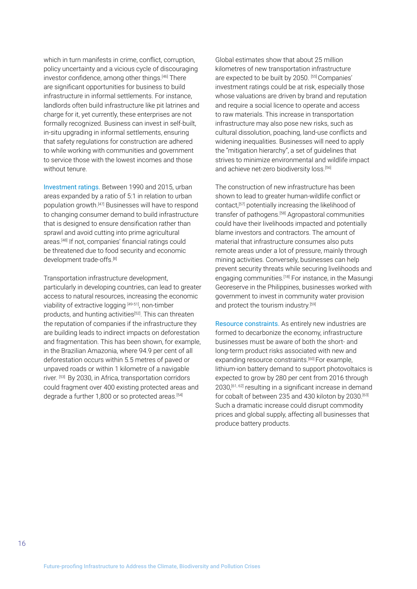which in turn manifests in crime, conflict, corruption, policy uncertainty and a vicious cycle of discouraging investor confidence, among other things.[46] There are significant opportunities for business to build infrastructure in informal settlements. For instance, landlords often build infrastructure like pit latrines and charge for it, yet currently, these enterprises are not formally recognized. Business can invest in self-built, in-situ upgrading in informal settlements, ensuring that safety regulations for construction are adhered to while working with communities and government to service those with the lowest incomes and those without tenure.

Investment ratings. Between 1990 and 2015, urban areas expanded by a ratio of 5:1 in relation to urban population growth.[47] Businesses will have to respond to changing consumer demand to build infrastructure that is designed to ensure densification rather than sprawl and avoid cutting into prime agricultural areas.[48] If not, companies' financial ratings could be threatened due to food security and economic development trade-offs.[8]

Transportation infrastructure development, particularly in developing countries, can lead to greater access to natural resources, increasing the economic viability of extractive logging [49-51], non-timber products, and hunting activities<sup>[52]</sup>. This can threaten the reputation of companies if the infrastructure they are building leads to indirect impacts on deforestation and fragmentation. This has been shown, for example, in the Brazilian Amazonia, where 94.9 per cent of all deforestation occurs within 5.5 metres of paved or unpaved roads or within 1 kilometre of a navigable river. [53] By 2030, in Africa, transportation corridors could fragment over 400 existing protected areas and degrade a further 1,800 or so protected areas.<sup>[54]</sup>

Global estimates show that about 25 million kilometres of new transportation infrastructure are expected to be built by 2050. [55] Companies' investment ratings could be at risk, especially those whose valuations are driven by brand and reputation and require a social licence to operate and access to raw materials. This increase in transportation infrastructure may also pose new risks, such as cultural dissolution, poaching, land-use conflicts and widening inequalities. Businesses will need to apply the "mitigation hierarchy", a set of guidelines that strives to minimize environmental and wildlife impact and achieve net-zero biodiversity loss.<sup>[56]</sup>

The construction of new infrastructure has been shown to lead to greater human-wildlife conflict or contact,[57] potentially increasing the likelihood of transfer of pathogens.[58] Agropastoral communities could have their livelihoods impacted and potentially blame investors and contractors. The amount of material that infrastructure consumes also puts remote areas under a lot of pressure, mainly through mining activities. Conversely, businesses can help prevent security threats while securing livelihoods and engaging communities.[18] For instance, in the Masungi Georeserve in the Philippines, businesses worked with government to invest in community water provision and protect the tourism industry.[59]

Resource constraints. As entirely new industries are formed to decarbonize the economy, infrastructure businesses must be aware of both the short- and long-term product risks associated with new and expanding resource constraints.<sup>[60]</sup> For example, lithium-ion battery demand to support photovoltaics is expected to grow by 280 per cent from 2016 through 2030,[61, 62] resulting in a significant increase in demand for cobalt of between 235 and 430 kiloton by 2030.<sup>[63]</sup> Such a dramatic increase could disrupt commodity prices and global supply, affecting all businesses that produce battery products.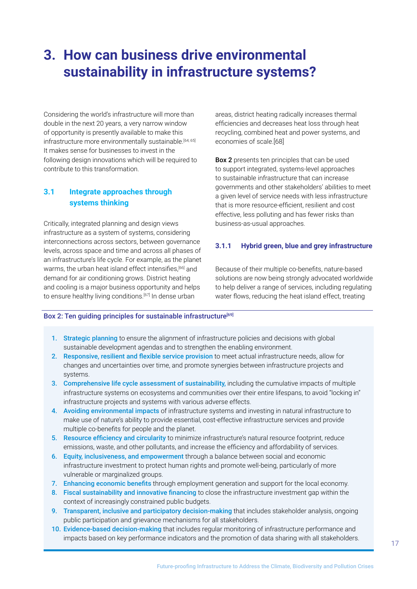## <span id="page-16-0"></span>**3. How can business drive environmental sustainability in infrastructure systems?**

Considering the world's infrastructure will more than double in the next 20 years, a very narrow window of opportunity is presently available to make this infrastructure more environmentally sustainable.<sup>[64, 65]</sup> It makes sense for businesses to invest in the following design innovations which will be required to contribute to this transformation.

## **3.1 Integrate approaches through systems thinking**

Critically, integrated planning and design views infrastructure as a system of systems, considering interconnections across sectors, between governance levels, across space and time and across all phases of an infrastructure's life cycle. For example, as the planet warms, the urban heat island effect intensifies,<sup>[66]</sup> and demand for air conditioning grows. District heating and cooling is a major business opportunity and helps to ensure healthy living conditions.<sup>[67]</sup> In dense urban

areas, district heating radically increases thermal efficiencies and decreases heat loss through heat recycling, combined heat and power systems, and economies of scale.[68]

Box 2 presents ten principles that can be used to support integrated, systems-level approaches to sustainable infrastructure that can increase governments and other stakeholders' abilities to meet a given level of service needs with less infrastructure that is more resource-efficient, resilient and cost effective, less polluting and has fewer risks than business-as-usual approaches.

### **3.1.1 Hybrid green, blue and grey infrastructure**

Because of their multiple co-benefits, nature-based solutions are now being strongly advocated worldwide to help deliver a range of services, including regulating water flows, reducing the heat island effect, treating

#### Box 2: Ten guiding principles for sustainable infrastructure<sup>[69]</sup>

- 1. Strategic planning to ensure the alignment of infrastructure policies and decisions with global sustainable development agendas and to strengthen the enabling environment.
- 2. Responsive, resilient and flexible service provision to meet actual infrastructure needs, allow for changes and uncertainties over time, and promote synergies between infrastructure projects and systems.
- 3. Comprehensive life cycle assessment of sustainability, including the cumulative impacts of multiple infrastructure systems on ecosystems and communities over their entire lifespans, to avoid "locking in" infrastructure projects and systems with various adverse effects.
- 4. Avoiding environmental impacts of infrastructure systems and investing in natural infrastructure to make use of nature's ability to provide essential, cost-effective infrastructure services and provide multiple co-benefits for people and the planet.
- 5. Resource efficiency and circularity to minimize infrastructure's natural resource footprint, reduce emissions, waste, and other pollutants, and increase the efficiency and affordability of services.
- 6. Equity, inclusiveness, and empowerment through a balance between social and economic infrastructure investment to protect human rights and promote well-being, particularly of more vulnerable or marginalized groups.
- 7. Enhancing economic benefits through employment generation and support for the local economy.
- 8. Fiscal sustainability and innovative financing to close the infrastructure investment gap within the context of increasingly constrained public budgets.
- 9. Transparent, inclusive and participatory decision-making that includes stakeholder analysis, ongoing public participation and grievance mechanisms for all stakeholders.
- 10. Evidence-based decision-making that includes regular monitoring of infrastructure performance and impacts based on key performance indicators and the promotion of data sharing with all stakeholders.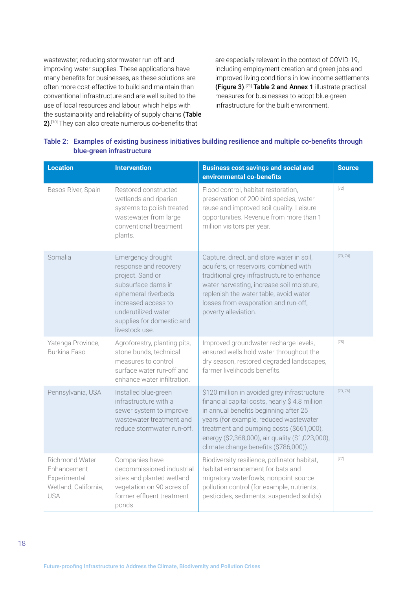wastewater, reducing stormwater run-off and improving water supplies. These applications have many benefits for businesses, as these solutions are often more cost-effective to build and maintain than conventional infrastructure and are well suited to the use of local resources and labour, which helps with the sustainability and reliability of supply chains (Table  $2$ ).<sup>[70]</sup> They can also create numerous co-benefits that

are especially relevant in the context of COVID-19, including employment creation and green jobs and improved living conditions in low-income settlements (Figure 3). [71] Table 2 and Annex 1 illustrate practical measures for businesses to adopt blue-green infrastructure for the built environment.

| <b>Location</b>                                                                     | <b>Intervention</b>                                                                                                                                                                                      | <b>Business cost savings and social and</b><br>environmental co-benefits                                                                                                                                                                                                                                                  | <b>Source</b> |
|-------------------------------------------------------------------------------------|----------------------------------------------------------------------------------------------------------------------------------------------------------------------------------------------------------|---------------------------------------------------------------------------------------------------------------------------------------------------------------------------------------------------------------------------------------------------------------------------------------------------------------------------|---------------|
| Besos River, Spain                                                                  | Restored constructed<br>wetlands and riparian<br>systems to polish treated<br>wastewater from large<br>conventional treatment<br>plants.                                                                 | Flood control, habitat restoration,<br>preservation of 200 bird species, water<br>reuse and improved soil quality. Leisure<br>opportunities. Revenue from more than 1<br>million visitors per year.                                                                                                                       | $[72]$        |
| Somalia                                                                             | Emergency drought<br>response and recovery<br>project. Sand or<br>subsurface dams in<br>ephemeral riverbeds<br>increased access to<br>underutilized water<br>supplies for domestic and<br>livestock use. | Capture, direct, and store water in soil,<br>aquifers, or reservoirs, combined with<br>traditional grey infrastructure to enhance<br>water harvesting, increase soil moisture,<br>replenish the water table, avoid water<br>losses from evaporation and run-off,<br>poverty alleviation.                                  | [73, 74]      |
| Yatenga Province,<br><b>Burkina Faso</b>                                            | Agroforestry, planting pits,<br>stone bunds, technical<br>measures to control<br>surface water run-off and<br>enhance water infiltration.                                                                | Improved groundwater recharge levels,<br>ensured wells hold water throughout the<br>dry season, restored degraded landscapes,<br>farmer livelihoods benefits.                                                                                                                                                             | $[75]$        |
| Pennsylvania, USA                                                                   | Installed blue-green<br>infrastructure with a<br>sewer system to improve<br>wastewater treatment and<br>reduce stormwater run-off.                                                                       | \$120 million in avoided grey infrastructure<br>financial capital costs, nearly \$4.8 million<br>in annual benefits beginning after 25<br>years (for example, reduced wastewater<br>treatment and pumping costs (\$661,000),<br>energy (\$2,368,000), air quality (\$1,023,000),<br>climate change benefits (\$786,000)). | [73, 76]      |
| Richmond Water<br>Enhancement<br>Experimental<br>Wetland, California,<br><b>USA</b> | Companies have<br>decommissioned industrial<br>sites and planted wetland<br>vegetation on 90 acres of<br>former effluent treatment<br>ponds.                                                             | Biodiversity resilience, pollinator habitat,<br>habitat enhancement for bats and<br>migratory waterfowls, nonpoint source<br>pollution control (for example, nutrients,<br>pesticides, sediments, suspended solids).                                                                                                      | $[77]$        |

| Table 2: Examples of existing business initiatives building resilience and multiple co-benefits through |
|---------------------------------------------------------------------------------------------------------|
| blue-green infrastructure                                                                               |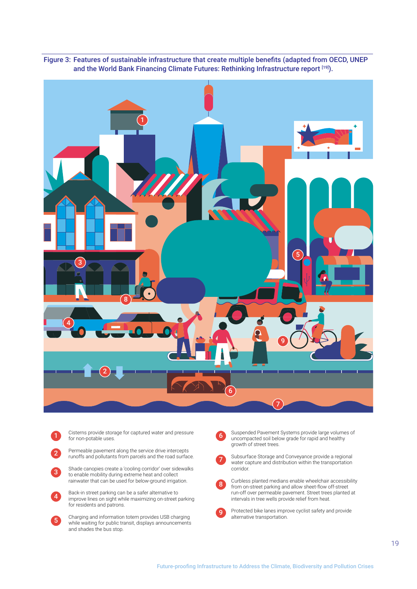

Figure 3: Features of sustainable infrastructure that create multiple benefits (adapted from OECD, UNEP and the World Bank Financing Climate Futures: Rethinking Infrastructure report [19]).



2

5

Permeable pavement along the service drive intercepts runoffs and pollutants from parcels and the road surface.

3 Shade canopies create a 'cooling corridor' over sidewalks to enable mobility during extreme heat and collect rainwater that can be used for below-ground irrigation.

4 Back-in street parking can be a safer alternative to improve lines on sight while maximizing on-street parking for residents and patrons.

Charging and information totem provides USB charging while waiting for public transit, displays announcements and shades the bus stop.

6 Suspended Pavement Systems provide large volumes of uncompacted soil below grade for rapid and healthy growth of street trees.



 $\sqrt{8}$ 

9

Subsurface Storage and Conveyance provide a regional water capture and distribution within the transportation corridor.

Curbless planted medians enable wheelchair accessibility from on-street parking and allow sheet-flow off-street run-off over permeable pavement. Street trees planted at intervals in tree wells provide relief from heat.

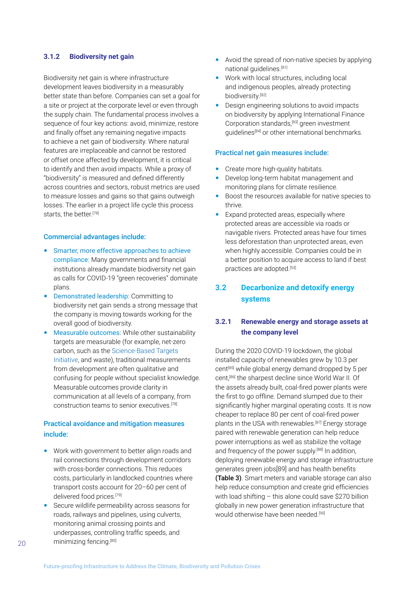### <span id="page-19-0"></span>**3.1.2 Biodiversity net gain**

Biodiversity net gain is where infrastructure development leaves biodiversity in a measurably better state than before. Companies can set a goal for a site or project at the corporate level or even through the supply chain. The fundamental process involves a sequence of four key actions: avoid, minimize, restore and finally offset any remaining negative impacts to achieve a net gain of biodiversity. Where natural features are irreplaceable and cannot be restored or offset once affected by development, it is critical to identify and then avoid impacts. While a proxy of "biodiversity" is measured and defined differently across countries and sectors, robust metrics are used to measure losses and gains so that gains outweigh losses. The earlier in a project life cycle this process starts, the better.[78]

#### Commercial advantages include:

- Smarter, more effective approaches to achieve compliance: Many governments and financial institutions already mandate biodiversity net gain as calls for COVID-19 "green recoveries" dominate plans.
- Demonstrated leadership: Committing to biodiversity net gain sends a strong message that the company is moving towards working for the overall good of biodiversity.
- Measurable outcomes: While other sustainability targets are measurable (for example, net-zero carbon, such as the [Science-Based Targets](https://sciencebasedtargets.org/net-zero)  [Initiative](https://sciencebasedtargets.org/net-zero), and waste), traditional measurements from development are often qualitative and confusing for people without specialist knowledge. Measurable outcomes provide clarity in communication at all levels of a company, from construction teams to senior executives<sup>[78]</sup>

## Practical avoidance and mitigation measures include:

- Work with government to better align roads and rail connections through development corridors with cross-border connections. This reduces costs, particularly in landlocked countries where transport costs account for 20–60 per cent of delivered food prices.[79]
- Secure wildlife permeability across seasons for roads, railways and pipelines, using culverts, monitoring animal crossing points and underpasses, controlling traffic speeds, and minimizing fencing.[80]
- Avoid the spread of non-native species by applying national guidelines.[81]
- Work with local structures, including local and indigenous peoples, already protecting biodiversity.<sup>[82]</sup>
- Design engineering solutions to avoid impacts on biodiversity by applying International Finance Corporation standards,[83] green investment guidelines[84] or other international benchmarks.

#### Practical net gain measures include:

- Create more high-quality habitats.
- Develop long-term habitat management and monitoring plans for climate resilience.
- Boost the resources available for native species to thrive.
- **Expand protected areas, especially where** protected areas are accessible via roads or navigable rivers. Protected areas have four times less deforestation than unprotected areas, even when highly accessible. Companies could be in a better position to acquire access to land if best practices are adopted.<sup>[53]</sup>

## **3.2 Decarbonize and detoxify energy systems**

## **3.2.1 Renewable energy and storage assets at the company level**

During the 2020 COVID-19 lockdown, the global installed capacity of renewables grew by 10.3 per cent[85] while global energy demand dropped by 5 per cent,[86] the sharpest decline since World War II. Of the assets already built, coal-fired power plants were the first to go offline. Demand slumped due to their significantly higher marginal operating costs. It is now cheaper to replace 80 per cent of coal-fired power plants in the USA with renewables.[87] Energy storage paired with renewable generation can help reduce power interruptions as well as stabilize the voltage and frequency of the power supply.[88] In addition, deploying renewable energy and storage infrastructure generates green jobs[89] and has health benefits (Table 3). Smart meters and variable storage can also help reduce consumption and create grid efficiencies with load shifting – this alone could save \$270 billion globally in new power generation infrastructure that would otherwise have been needed.<sup>[90]</sup>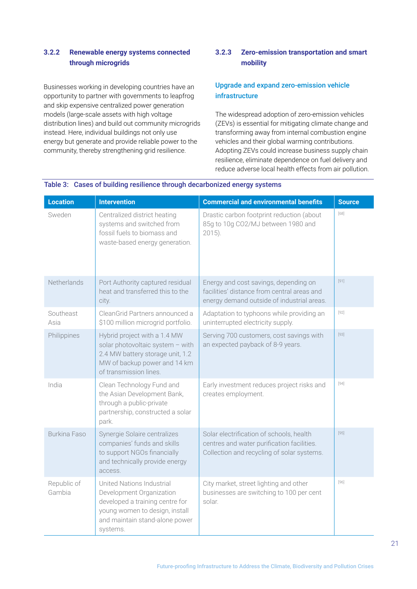## <span id="page-20-0"></span>**3.2.2 Renewable energy systems connected through microgrids**

Businesses working in developing countries have an opportunity to partner with governments to leapfrog and skip expensive centralized power generation models (large-scale assets with high voltage distribution lines) and build out community microgrids instead. Here, individual buildings not only use energy but generate and provide reliable power to the community, thereby strengthening grid resilience.

## **3.2.3 Zero-emission transportation and smart mobility**

## Upgrade and expand zero-emission vehicle infrastructure

The widespread adoption of zero-emission vehicles (ZEVs) is essential for mitigating climate change and transforming away from internal combustion engine vehicles and their global warming contributions. Adopting ZEVs could increase business supply chain resilience, eliminate dependence on fuel delivery and reduce adverse local health effects from air pollution.

| <b>Location</b>       | <b>Intervention</b>                                                                                                                                                      | <b>Commercial and environmental benefits</b>                                                                                         | <b>Source</b> |
|-----------------------|--------------------------------------------------------------------------------------------------------------------------------------------------------------------------|--------------------------------------------------------------------------------------------------------------------------------------|---------------|
| Sweden                | Centralized district heating<br>systems and switched from<br>fossil fuels to biomass and<br>waste-based energy generation.                                               | Drastic carbon footprint reduction (about<br>85g to 10g CO2/MJ between 1980 and<br>$2015$ ).                                         | $[68]$        |
| Netherlands           | Port Authority captured residual<br>heat and transferred this to the<br>city.                                                                                            | Energy and cost savings, depending on<br>facilities' distance from central areas and<br>energy demand outside of industrial areas.   | $[91]$        |
| Southeast<br>Asia     | CleanGrid Partners announced a<br>\$100 million microgrid portfolio.                                                                                                     | Adaptation to typhoons while providing an<br>uninterrupted electricity supply.                                                       | $[92]$        |
| Philippines           | Hybrid project with a 1.4 MW<br>solar photovoltaic system - with<br>2.4 MW battery storage unit, 1.2<br>MW of backup power and 14 km<br>of transmission lines.           | Serving 700 customers, cost savings with<br>an expected payback of 8-9 years.                                                        | $[93]$        |
| India                 | Clean Technology Fund and<br>the Asian Development Bank,<br>through a public-private<br>partnership, constructed a solar<br>park.                                        | Early investment reduces project risks and<br>creates employment.                                                                    | $[94]$        |
| Burkina Faso          | Synergie Solaire centralizes<br>companies' funds and skills<br>to support NGOs financially<br>and technically provide energy<br>access.                                  | Solar electrification of schools, health<br>centres and water purification facilities.<br>Collection and recycling of solar systems. | $[95]$        |
| Republic of<br>Gambia | United Nations Industrial<br>Development Organization<br>developed a training centre for<br>young women to design, install<br>and maintain stand-alone power<br>systems. | City market, street lighting and other<br>businesses are switching to 100 per cent<br>solar.                                         | $[96]$        |

### Table 3: Cases of building resilience through decarbonized energy systems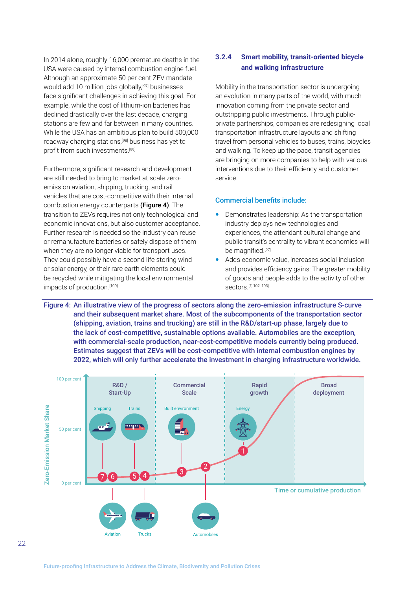<span id="page-21-0"></span>In 2014 alone, roughly 16,000 premature deaths in the USA were caused by internal combustion engine fuel. Although an approximate 50 per cent ZEV mandate would add 10 million jobs globally,<sup>[97]</sup> businesses face significant challenges in achieving this goal. For example, while the cost of lithium-ion batteries has declined drastically over the last decade, charging stations are few and far between in many countries. While the USA has an ambitious plan to build 500,000 roadway charging stations,[98] business has yet to profit from such investments.<sup>[99]</sup>

Furthermore, significant research and development are still needed to bring to market at scale zeroemission aviation, shipping, trucking, and rail vehicles that are cost-competitive with their internal combustion energy counterparts (Figure 4). The transition to ZEVs requires not only technological and economic innovations, but also customer acceptance. Further research is needed so the industry can reuse or remanufacture batteries or safely dispose of them when they are no longer viable for transport uses. They could possibly have a second life storing wind or solar energy, or their rare earth elements could be recycled while mitigating the local environmental impacts of production.[100]

## **3.2.4 Smart mobility, transit-oriented bicycle and walking infrastructure**

Mobility in the transportation sector is undergoing an evolution in many parts of the world, with much innovation coming from the private sector and outstripping public investments. Through publicprivate partnerships, companies are redesigning local transportation infrastructure layouts and shifting travel from personal vehicles to buses, trains, bicycles and walking. To keep up the pace, transit agencies are bringing on more companies to help with various interventions due to their efficiency and customer service.

#### Commercial benefits include:

- Demonstrates leadership: As the transportation industry deploys new technologies and experiences, the attendant cultural change and public transit's centrality to vibrant economies will be magnified.[97]
- Adds economic value, increases social inclusion and provides efficiency gains: The greater mobility of goods and people adds to the activity of other sectors.[7, 102, 103]

Figure 4: An illustrative view of the progress of sectors along the zero-emission infrastructure S-curve and their subsequent market share. Most of the subcomponents of the transportation sector (shipping, aviation, trains and trucking) are still in the R&D/start-up phase, largely due to the lack of cost-competitive, sustainable options available. Automobiles are the exception, with commercial-scale production, near-cost-competitive models currently being produced. Estimates suggest that ZEVs will be cost-competitive with internal combustion engines by 2022, which will only further accelerate the investment in charging infrastructure worldwide.

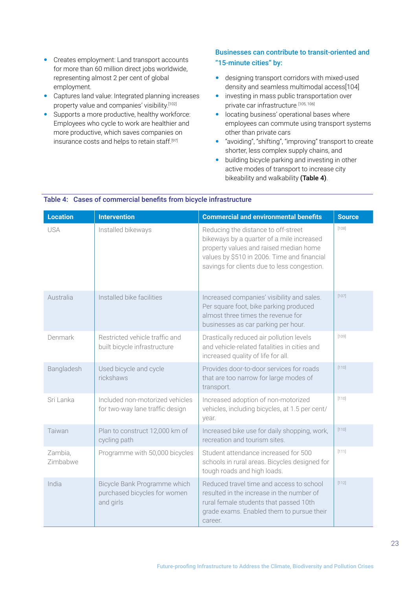- Creates employment: Land transport accounts for more than 60 million direct jobs worldwide, representing almost 2 per cent of global employment.
- Captures land value: Integrated planning increases property value and companies' visibility.[102]
- Supports a more productive, healthy workforce: Employees who cycle to work are healthier and more productive, which saves companies on insurance costs and helps to retain staff.<sup>[97]</sup>

## Businesses can contribute to transit-oriented and "15-minute cities" by:

- designing transport corridors with mixed-used density and seamless multimodal access[104]
- investing in mass public transportation over private car infrastructure [105, 106]
- **•** locating business' operational bases where employees can commute using transport systems other than private cars
- "avoiding", "shifting", "improving" transport to create shorter, less complex supply chains, and
- **•** building bicycle parking and investing in other active modes of transport to increase city bikeability and walkability (Table 4).

| <b>Location</b>     | <b>Intervention</b>                                                       | <b>Commercial and environmental benefits</b>                                                                                                                                                                             | <b>Source</b> |
|---------------------|---------------------------------------------------------------------------|--------------------------------------------------------------------------------------------------------------------------------------------------------------------------------------------------------------------------|---------------|
| <b>USA</b>          | Installed bikeways                                                        | Reducing the distance to off-street<br>bikeways by a quarter of a mile increased<br>property values and raised median home<br>values by \$510 in 2006. Time and financial<br>savings for clients due to less congestion. | [108]         |
| Australia           | Installed bike facilities                                                 | Increased companies' visibility and sales.<br>Per square foot, bike parking produced<br>almost three times the revenue for<br>businesses as car parking per hour.                                                        | [107]         |
| Denmark             | Restricted vehicle traffic and<br>built bicycle infrastructure            | Drastically reduced air pollution levels<br>and vehicle-related fatalities in cities and<br>increased quality of life for all.                                                                                           | [109]         |
| Bangladesh          | Used bicycle and cycle<br>rickshaws                                       | Provides door-to-door services for roads<br>that are too narrow for large modes of<br>transport.                                                                                                                         | [110]         |
| Sri Lanka           | Included non-motorized vehicles<br>for two-way lane traffic design        | Increased adoption of non-motorized<br>vehicles, including bicycles, at 1.5 per cent/<br>year.                                                                                                                           | [110]         |
| Taiwan              | Plan to construct 12,000 km of<br>cycling path                            | Increased bike use for daily shopping, work,<br>recreation and tourism sites.                                                                                                                                            | [110]         |
| Zambia,<br>Zimbabwe | Programme with 50,000 bicycles                                            | Student attendance increased for 500<br>schools in rural areas. Bicycles designed for<br>tough roads and high loads.                                                                                                     | [111]         |
| India               | Bicycle Bank Programme which<br>purchased bicycles for women<br>and girls | Reduced travel time and access to school<br>resulted in the increase in the number of<br>rural female students that passed 10th<br>grade exams. Enabled them to pursue their<br>career.                                  | [112]         |

## Table 4: Cases of commercial benefits from bicycle infrastructure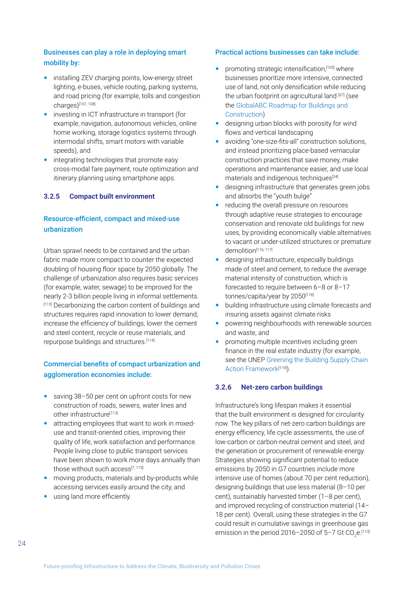## <span id="page-23-0"></span>Businesses can play a role in deploying smart mobility by:

- installing ZEV charging points, low-energy street lighting, e-buses, vehicle routing, parking systems, and road pricing (for example, tolls and congestion charges)[107, 108]
- investing in ICT infrastructure in transport (for example, navigation, autonomous vehicles, online home working, storage logistics systems through intermodal shifts, smart motors with variable speeds), and
- integrating technologies that promote easy cross-modal fare payment, route optimization and itinerary planning using smartphone apps.

### **3.2.5 Compact built environment**

## Resource-efficient, compact and mixed-use urbanization

Urban sprawl needs to be contained and the urban fabric made more compact to counter the expected doubling of housing floor space by 2050 globally. The challenge of urbanization also requires basic services (for example, water, sewage) to be improved for the nearly 2-3 billion people living in informal settlements. [113] Decarbonizing the carbon content of buildings and structures requires rapid innovation to lower demand, increase the efficiency of buildings, lower the cement and steel content, recycle or reuse materials, and repurpose buildings and structures.[114]

## Commercial benefits of compact urbanization and agglomeration economies include:

- saving 38–50 per cent on upfront costs for new construction of roads, sewers, water lines and other infrastructure[113]
- attracting employees that want to work in mixeduse and transit-oriented cities, improving their quality of life, work satisfaction and performance. People living close to public transport services have been shown to work more days annually than those without such access<sup>[7, 115]</sup>
- moving products, materials and by-products while accessing services easily around the city, and
- using land more efficiently.

#### Practical actions businesses can take include:

- promoting strategic intensification,[105] where businesses prioritize more intensive, connected use of land, not only densification while reducing the urban footprint on agricultural land [67] (see the [GlobalABC Roadmap for Buildings and](https://globalabc.org/our-work/forging-regional-pathways-global-and-regional-roadmap)  [Construction](https://globalabc.org/our-work/forging-regional-pathways-global-and-regional-roadmap))
- designing urban blocks with porosity for wind flows and vertical landscaping
- avoiding "one-size-fits-all" construction solutions, and instead prioritizing place-based vernacular construction practices that save money, make operations and maintenance easier, and use local materials and indigenous techniques<sup>[34]</sup>
- designing infrastructure that generates green jobs and absorbs the "youth bulge"
- reducing the overall pressure on resources through adaptive reuse strategies to encourage conservation and renovate old buildings for new uses, by providing economically viable alternatives to vacant or under-utilized structures or premature demolition<sup>[116, 117]</sup>
- designing infrastructure, especially buildings made of steel and cement, to reduce the average material intensity of construction, which is forecasted to require between 6–8 or 8–17 tonnes/capita/year by 2050[118]
- **•** building infrastructure using climate forecasts and insuring assets against climate risks
- powering neighbourhoods with renewable sources and waste, and
- promoting multiple incentives including green finance in the real estate industry (for example, see the UNEP [Greening the Building Supply Chain](https://www.oew.kit.edu/img/greening_the_supply_chain_report.pdf)  Action Framework<sup>[119]</sup>).

### **3.2.6 Net-zero carbon buildings**

Infrastructure's long lifespan makes it essential that the built environment is designed for circularity now. The key pillars of net-zero carbon buildings are energy efficiency, life cycle assessments, the use of low-carbon or carbon-neutral cement and steel, and the generation or procurement of renewable energy. Strategies showing significant potential to reduce emissions by 2050 in G7 countries include more intensive use of homes (about 70 per cent reduction), designing buildings that use less material (8–10 per cent), sustainably harvested timber (1–8 per cent), and improved recycling of construction material (14– 18 per cent). Overall, using these strategies in the G7 could result in cumulative savings in greenhouse gas emission in the period 2016–2050 of 5–7 Gt CO $_2$ e.<sup>[113]</sup>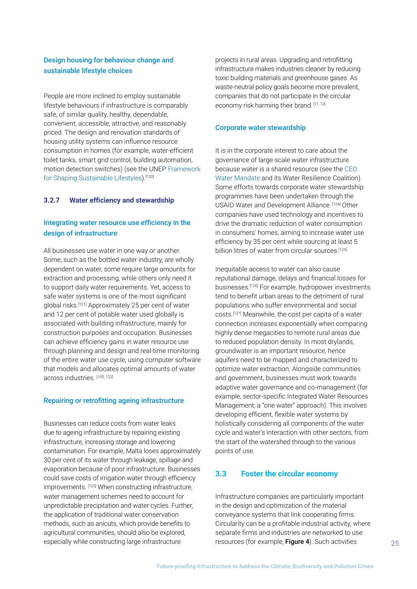## <span id="page-24-0"></span>Design housing for behaviour change and sustainable lifestyle choices

People are more inclined to employ sustainable lifestyle behaviours if infrastructure is comparably safe, of similar quality, healthy, dependable, convenient, accessible, attractive, and reasonably priced. The design and renovation standards of housing utility systems can influence resource consumption in homes (for example, water-efficient toilet tanks, smart grid control, building automation, motion detection switches) (see the UNEP [Framework](https://www.oneplanetnetwork.org/sites/default/files/a_framework_for_shaping_sustainable_lifestyles_determinants_and_strategies_0.pdf)  [for Shaping Sustainable Lifestyles\)](https://www.oneplanetnetwork.org/sites/default/files/a_framework_for_shaping_sustainable_lifestyles_determinants_and_strategies_0.pdf).<sup>[120]</sup>

#### **3.2.7 Water efficiency and stewardship**

## Integrating water resource use efficiency in the design of infrastructure

All businesses use water in one way or another. Some, such as the bottled water industry, are wholly dependent on water, some require large amounts for extraction and processing, while others only need it to support daily water requirements. Yet, access to safe water systems is one of the most significant global risks.[121] Approximately 25 per cent of water and 12 per cent of potable water used globally is associated with building infrastructure, mainly for construction purposes and occupation. Businesses can achieve efficiency gains in water resource use through planning and design and real-time monitoring of the entire water use cycle, using computer software that models and allocates optimal amounts of water across industries. [105, 122]

#### Repairing or retrofitting ageing infrastructure

Businesses can reduce costs from water leaks due to ageing infrastructure by repairing existing infrastructure, increasing storage and lowering contamination. For example, Malta loses approximately 30 per cent of its water through leakage, spillage and evaporation because of poor infrastructure. Businesses could save costs of irrigation water through efficiency improvements. [123] When constructing infrastructure, water management schemes need to account for unpredictable precipitation and water cycles. Further, the application of traditional water conservation methods, such as anicuts, which provide benefits to agricultural communities, should also be explored, especially while constructing large infrastructure

projects in rural areas. Upgrading and retrofitting infrastructure makes industries cleaner by reducing toxic building materials and greenhouse gases. As waste-neutral policy goals become more prevalent, companies that do not participate in the circular economy risk harming their brand. [11, 12]

#### Corporate water stewardship

It is in the corporate interest to care about the governance of large-scale water infrastructure because water is a shared resource (see the [CEO](https://ceowatermandate.org/)  [Water Mandate](https://ceowatermandate.org/) and its Water Resilience Coalition). Some efforts towards corporate water stewardship programmes have been undertaken through the USAID Water and Development Alliance. [124] Other companies have used technology and incentives to drive the dramatic reduction of water consumption in consumers' homes, aiming to increase water use efficiency by 35 per cent while sourcing at least 5 billion litres of water from circular sources.<sup>[125]</sup>

Inequitable access to water can also cause reputational damage, delays and financial losses for businesses.[126] For example, hydropower investments tend to benefit urban areas to the detriment of rural populations who suffer environmental and social costs.[127] Meanwhile, the cost per capita of a water connection increases exponentially when comparing highly dense megacities to remote rural areas due to reduced population density. In most drylands, groundwater is an important resource, hence aquifers need to be mapped and characterized to optimize water extraction. Alongside communities and government, businesses must work towards adaptive water governance and co-management (for example, sector-specific Integrated Water Resources Management; a "one water" approach). This involves developing efficient, flexible water systems by holistically considering all components of the water cycle and water's interaction with other sectors, from the start of the watershed through to the various points of use.

### **3.3 Foster the circular economy**

Infrastructure companies are particularly important in the design and optimization of the material conveyance systems that link cooperating firms. Circularity can be a profitable industrial activity, where separate firms and industries are networked to use resources (for example, Figure 4). Such activities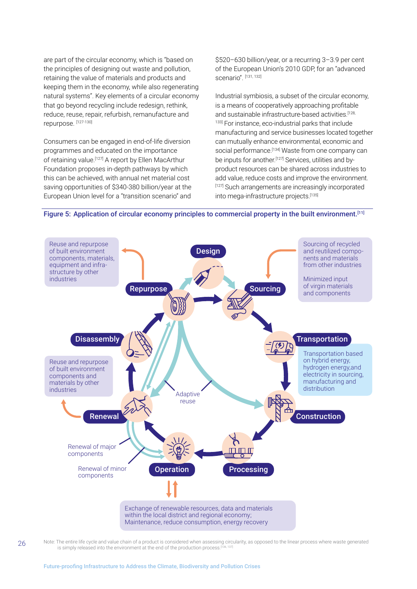are part of the circular economy, which is "based on the principles of designing out waste and pollution, retaining the value of materials and products and keeping them in the economy, while also regenerating natural systems". Key elements of a circular economy that go beyond recycling include redesign, rethink, reduce, reuse, repair, refurbish, remanufacture and repurpose. [127-130]

Consumers can be engaged in end-of-life diversion programmes and educated on the importance of retaining value.<sup>[127]</sup> A report by Ellen MacArthur Foundation proposes in-depth pathways by which this can be achieved, with annual net material cost saving opportunities of \$340-380 billion/year at the European Union level for a "transition scenario" and \$520–630 billion/year, or a recurring 3–3.9 per cent of the European Union's 2010 GDP, for an "advanced scenario". [131, 132]

Industrial symbiosis, a subset of the circular economy, is a means of cooperatively approaching profitable and sustainable infrastructure-based activities.<sup>[128,</sup>] 133] For instance, eco-industrial parks that include manufacturing and service businesses located together can mutually enhance environmental, economic and social performance.<sup>[134]</sup> Waste from one company can be inputs for another.<sup>[127]</sup> Services, utilities and byproduct resources can be shared across industries to add value, reduce costs and improve the environment. [127] Such arrangements are increasingly incorporated into mega-infrastructure projects.[135]





Note: The entire life cycle and value chain of a product is considered when assessing circularity, as opposed to the linear process where waste generated is simply released into the environment at the end of the production process.<sup>[3]</sup>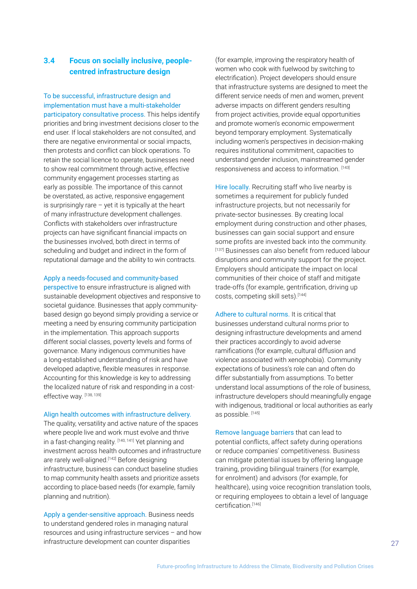## <span id="page-26-0"></span>**3.4 Focus on socially inclusive, peoplecentred infrastructure design**

To be successful, infrastructure design and implementation must have a multi-stakeholder participatory consultative process. This helps identify priorities and bring investment decisions closer to the end user. If local stakeholders are not consulted, and there are negative environmental or social impacts, then protests and conflict can block operations. To retain the social licence to operate, businesses need to show real commitment through active, effective community engagement processes starting as early as possible. The importance of this cannot be overstated, as active, responsive engagement is surprisingly rare  $-$  yet it is typically at the heart of many infrastructure development challenges. Conflicts with stakeholders over infrastructure projects can have significant financial impacts on the businesses involved, both direct in terms of scheduling and budget and indirect in the form of reputational damage and the ability to win contracts.

#### Apply a needs-focused and community-based

perspective to ensure infrastructure is aligned with sustainable development objectives and responsive to societal guidance. Businesses that apply communitybased design go beyond simply providing a service or meeting a need by ensuring community participation in the implementation. This approach supports different social classes, poverty levels and forms of governance. Many indigenous communities have a long-established understanding of risk and have developed adaptive, flexible measures in response. Accounting for this knowledge is key to addressing the localized nature of risk and responding in a costeffective way. [138, 139]

#### Align health outcomes with infrastructure delivery.

The quality, versatility and active nature of the spaces where people live and work must evolve and thrive in a fast-changing reality. [140, 141] Yet planning and investment across health outcomes and infrastructure are rarely well-aligned.[142] Before designing infrastructure, business can conduct baseline studies to map community health assets and prioritize assets according to place-based needs (for example, family planning and nutrition).

Apply a gender-sensitive approach. Business needs to understand gendered roles in managing natural resources and using infrastructure services – and how infrastructure development can counter disparities

(for example, improving the respiratory health of women who cook with fuelwood by switching to electrification). Project developers should ensure that infrastructure systems are designed to meet the different service needs of men and women, prevent adverse impacts on different genders resulting from project activities, provide equal opportunities and promote women's economic empowerment beyond temporary employment. Systematically including women's perspectives in decision-making requires institutional commitment, capacities to understand gender inclusion, mainstreamed gender responsiveness and access to information. [143]

Hire locally. Recruiting staff who live nearby is sometimes a requirement for publicly funded infrastructure projects, but not necessarily for private-sector businesses. By creating local employment during construction and other phases, businesses can gain social support and ensure some profits are invested back into the community. [137] Businesses can also benefit from reduced labour disruptions and community support for the project. Employers should anticipate the impact on local communities of their choice of staff and mitigate trade-offs (for example, gentrification, driving up costs, competing skill sets).[144]

Adhere to cultural norms. It is critical that businesses understand cultural norms prior to designing infrastructure developments and amend their practices accordingly to avoid adverse ramifications (for example, cultural diffusion and violence associated with xenophobia). Community expectations of business's role can and often do differ substantially from assumptions. To better understand local assumptions of the role of business, infrastructure developers should meaningfully engage with indigenous, traditional or local authorities as early as possible. [145]

Remove language barriers that can lead to potential conflicts, affect safety during operations or reduce companies' competitiveness. Business can mitigate potential issues by offering language training, providing bilingual trainers (for example, for enrolment) and advisors (for example, for healthcare), using voice recognition translation tools, or requiring employees to obtain a level of language certification<sup>[146]</sup>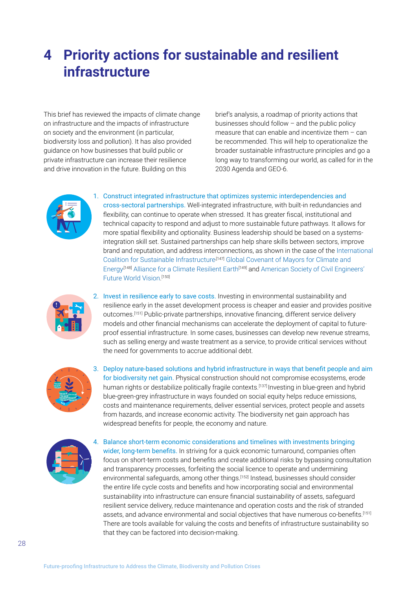## <span id="page-27-0"></span>**4 Priority actions for sustainable and resilient infrastructure**

This brief has reviewed the impacts of climate change on infrastructure and the impacts of infrastructure on society and the environment (in particular, biodiversity loss and pollution). It has also provided guidance on how businesses that build public or private infrastructure can increase their resilience and drive innovation in the future. Building on this

brief's analysis, a roadmap of priority actions that businesses should follow – and the public policy measure that can enable and incentivize them – can be recommended. This will help to operationalize the broader sustainable infrastructure principles and go a long way to transforming our world, as called for in the 2030 Agenda and GEO-6.



1. Construct integrated infrastructure that optimizes systemic interdependencies and cross-sectoral partnerships. Well-integrated infrastructure, with built-in redundancies and flexibility, can continue to operate when stressed. It has greater fiscal, institutional and technical capacity to respond and adjust to more sustainable future pathways. It allows for more spatial flexibility and optionality. Business leadership should be based on a systemsintegration skill set. Sustained partnerships can help share skills between sectors, improve brand and reputation, and address interconnections, as shown in the case of th[e International](https://sustainability-coalition.org/about-icsi/)  Coalition for Sustainable Infrastructure<sup>[147]</sup> Global Covenant of Mayors for Climate and [Energy](https://www.globalcovenantofmayors.org/who-we-are/)<sup>[148]</sup> Alliance for a Climate Resilient Earth<sup>[149]</sup> and American Society of Civil Engineers' [Future World Vision.](https://www.futureworldvision.org/) [150]



2. Invest in resilience early to save costs. Investing in environmental sustainability and resilience early in the asset development process is cheaper and easier and provides positive outcomes.[151] Public-private partnerships, innovative financing, different service delivery models and other financial mechanisms can accelerate the deployment of capital to futureproof essential infrastructure. In some cases, businesses can develop new revenue streams, such as selling energy and waste treatment as a service, to provide critical services without the need for governments to accrue additional debt.



3. Deploy nature-based solutions and hybrid infrastructure in ways that benefit people and aim for biodiversity net gain. Physical construction should not compromise ecosystems, erode human rights or destabilize politically fragile contexts.[137] Investing in blue-green and hybrid blue-green-grey infrastructure in ways founded on social equity helps reduce emissions, costs and maintenance requirements, deliver essential services, protect people and assets from hazards, and increase economic activity. The biodiversity net gain approach has widespread benefits for people, the economy and nature.



4. Balance short-term economic considerations and timelines with investments bringing wider, long-term benefits. In striving for a quick economic turnaround, companies often focus on short-term costs and benefits and create additional risks by bypassing consultation and transparency processes, forfeiting the social licence to operate and undermining environmental safeguards, among other things.<sup>[152]</sup> Instead, businesses should consider the entire life cycle costs and benefits and how incorporating social and environmental sustainability into infrastructure can ensure financial sustainability of assets, safeguard resilient service delivery, reduce maintenance and operation costs and the risk of stranded assets, and advance environmental and social objectives that have numerous co-benefits.<sup>[151]</sup> There are tools available for valuing the costs and benefits of infrastructure sustainability so that they can be factored into decision-making.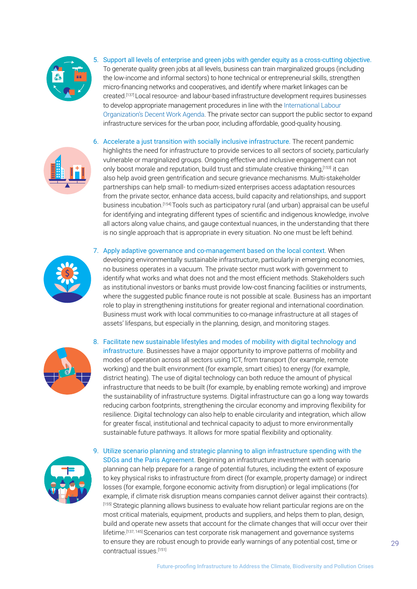

5. Support all levels of enterprise and green jobs with gender equity as a cross-cutting objective. To generate quality green jobs at all levels, business can train marginalized groups (including the low-income and informal sectors) to hone technical or entrepreneurial skills, strengthen micro-financing networks and cooperatives, and identify where market linkages can be created.[137] Local resource- and labour-based infrastructure development requires businesses to develop appropriate management procedures in line with the [International Labour](https://www.ilo.org/global/topics/decent-work/lang--en/index.htm)  [Organization's Decent Work Agenda.](https://www.ilo.org/global/topics/decent-work/lang--en/index.htm) The private sector can support the public sector to expand infrastructure services for the urban poor, including affordable, good-quality housing.



6. Accelerate a just transition with socially inclusive infrastructure. The recent pandemic highlights the need for infrastructure to provide services to all sectors of society, particularly vulnerable or marginalized groups. Ongoing effective and inclusive engagement can not only boost morale and reputation, build trust and stimulate creative thinking,[153] it can also help avoid green gentrification and secure grievance mechanisms. Multi-stakeholder partnerships can help small- to medium-sized enterprises access adaptation resources from the private sector, enhance data access, build capacity and relationships, and support business incubation.[154] Tools such as participatory rural (and urban) appraisal can be useful for identifying and integrating different types of scientific and indigenous knowledge, involve all actors along value chains, and gauge contextual nuances, in the understanding that there is no single approach that is appropriate in every situation. No one must be left behind.



7. Apply adaptive governance and co-management based on the local context. When developing environmentally sustainable infrastructure, particularly in emerging economies, no business operates in a vacuum. The private sector must work with government to identify what works and what does not and the most efficient methods. Stakeholders such as institutional investors or banks must provide low-cost financing facilities or instruments, where the suggested public finance route is not possible at scale. Business has an important role to play in strengthening institutions for greater regional and international coordination. Business must work with local communities to co-manage infrastructure at all stages of assets' lifespans, but especially in the planning, design, and monitoring stages.



8. Facilitate new sustainable lifestyles and modes of mobility with digital technology and infrastructure. Businesses have a major opportunity to improve patterns of mobility and modes of operation across all sectors using ICT, from transport (for example, remote working) and the built environment (for example, smart cities) to energy (for example, district heating). The use of digital technology can both reduce the amount of physical infrastructure that needs to be built (for example, by enabling remote working) and improve the sustainability of infrastructure systems. Digital infrastructure can go a long way towards reducing carbon footprints, strengthening the circular economy and improving flexibility for resilience. Digital technology can also help to enable circularity and integration, which allow for greater fiscal, institutional and technical capacity to adjust to more environmentally sustainable future pathways. It allows for more spatial flexibility and optionality.



9. Utilize scenario planning and strategic planning to align infrastructure spending with the SDGs and the Paris Agreement. Beginning an infrastructure investment with scenario planning can help prepare for a range of potential futures, including the extent of exposure to key physical risks to infrastructure from direct (for example, property damage) or indirect losses (for example, forgone economic activity from disruption) or legal implications (for example, if climate risk disruption means companies cannot deliver against their contracts). [155] Strategic planning allows business to evaluate how reliant particular regions are on the most critical materials, equipment, products and suppliers, and helps them to plan, design, build and operate new assets that account for the climate changes that will occur over their lifetime.<sup>[137, 145]</sup> Scenarios can test corporate risk management and governance systems to ensure they are robust enough to provide early warnings of any potential cost, time or contractual issues.[151]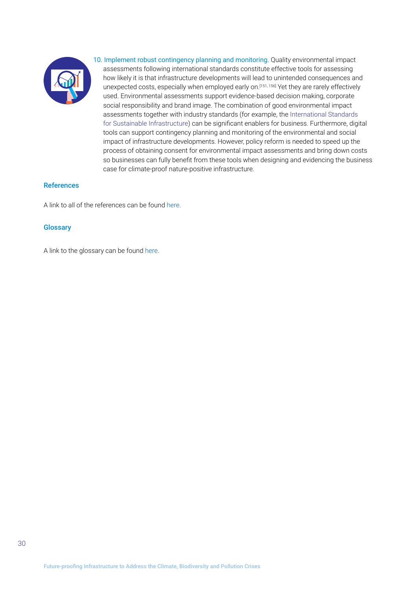<span id="page-29-0"></span>

10. Implement robust contingency planning and monitoring. Quality environmental impact assessments following international standards constitute effective tools for assessing how likely it is that infrastructure developments will lead to unintended consequences and unexpected costs, especially when employed early on.<sup>[151, 156]</sup> Yet they are rarely effectively used. Environmental assessments support evidence-based decision making, corporate social responsibility and brand image. The combination of good environmental impact assessments together with industry standards (for example, the [International Standards](https://sdghelpdesk.unescap.org/sites/default/files/2020-06/International_Standards_for_Sustainable_Infrastructure-2.pdf)  [for Sustainable Infrastructure](https://sdghelpdesk.unescap.org/sites/default/files/2020-06/International_Standards_for_Sustainable_Infrastructure-2.pdf)) can be significant enablers for business. Furthermore, digital tools can support contingency planning and monitoring of the environmental and social impact of infrastructure developments. However, policy reform is needed to speed up the process of obtaining consent for environmental impact assessments and bring down costs so businesses can fully benefit from these tools when designing and evidencing the business case for climate-proof nature-positive infrastructure.

### References

A link to all of the references can be found [here](https://wedocs.unep.org/bitstream/handle/20.500.11822/37566/GFB5R.pdf).

### **Glossary**

A link to the glossary can be found [here](https://wedocs.unep.org/bitstream/handle/20.500.11822/37565/GFB5G.pdf).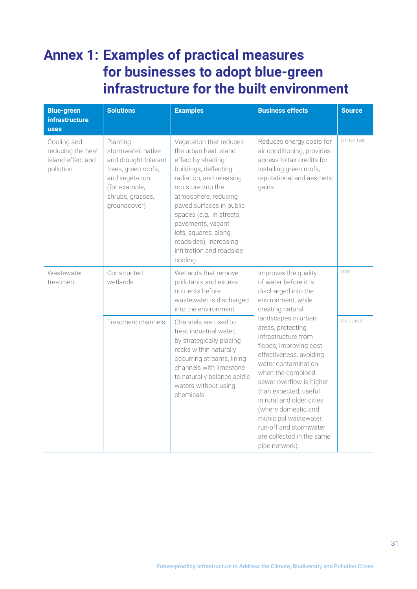## <span id="page-30-0"></span>**Annex 1: Examples of practical measures for businesses to adopt blue-green infrastructure for the built environment**

| <b>Blue-green</b><br><b>infrastructure</b><br><b>uses</b>          | <b>Solutions</b>                                                                                                                                     | <b>Examples</b>                                                                                                                                                                                                                                                                                                                                  | <b>Business effects</b>                                                                                                                                                                                                                                                                                                                                                     | <b>Source</b>  |
|--------------------------------------------------------------------|------------------------------------------------------------------------------------------------------------------------------------------------------|--------------------------------------------------------------------------------------------------------------------------------------------------------------------------------------------------------------------------------------------------------------------------------------------------------------------------------------------------|-----------------------------------------------------------------------------------------------------------------------------------------------------------------------------------------------------------------------------------------------------------------------------------------------------------------------------------------------------------------------------|----------------|
| Cooling and<br>reducing the heat<br>island effect and<br>pollution | Planting<br>stormwater, native<br>and drought-tolerant<br>trees, green roofs,<br>and vegetation<br>(for example,<br>shrubs, grasses,<br>groundcover) | Vegetation that reduces<br>the urban heat island<br>effect by shading<br>buildings, deflecting<br>radiation, and releasing<br>moisture into the<br>atmosphere, reducing<br>paved surfaces in public<br>spaces (e.g., in streets,<br>pavements, vacant<br>lots, squares, along<br>roadsides), increasing<br>infiltration and roadside<br>cooling. | Reduces energy costs for<br>air conditioning, provides<br>access to tax credits for<br>installing green roofs,<br>reputational and aesthetic<br>gains.                                                                                                                                                                                                                      | [77, 157, 158] |
| Wastewater<br>treatment                                            | Constructed<br>wetlands                                                                                                                              | Wetlands that remove<br>pollutants and excess<br>nutrients before<br>wastewater is discharged<br>into the environment.                                                                                                                                                                                                                           | Improves the quality<br>of water before it is<br>discharged into the<br>environment, while<br>creating natural                                                                                                                                                                                                                                                              | $[159]$        |
|                                                                    | Treatment channels                                                                                                                                   | Channels are used to<br>treat industrial water,<br>by strategically placing<br>rocks within naturally<br>occurring streams, lining<br>channels with limestone<br>to naturally balance acidic<br>waters without using<br>chemicals.                                                                                                               | landscapes in urban<br>areas, protecting<br>infrastructure from<br>floods, improving cost<br>effectiveness, avoiding<br>water contamination<br>when the combined<br>sewer overflow is higher<br>than expected, useful<br>in rural and older cities<br>(where domestic and<br>municipal wastewater,<br>run-off and stormwater<br>are collected in the same<br>pipe network). | [24, 33, 160]  |